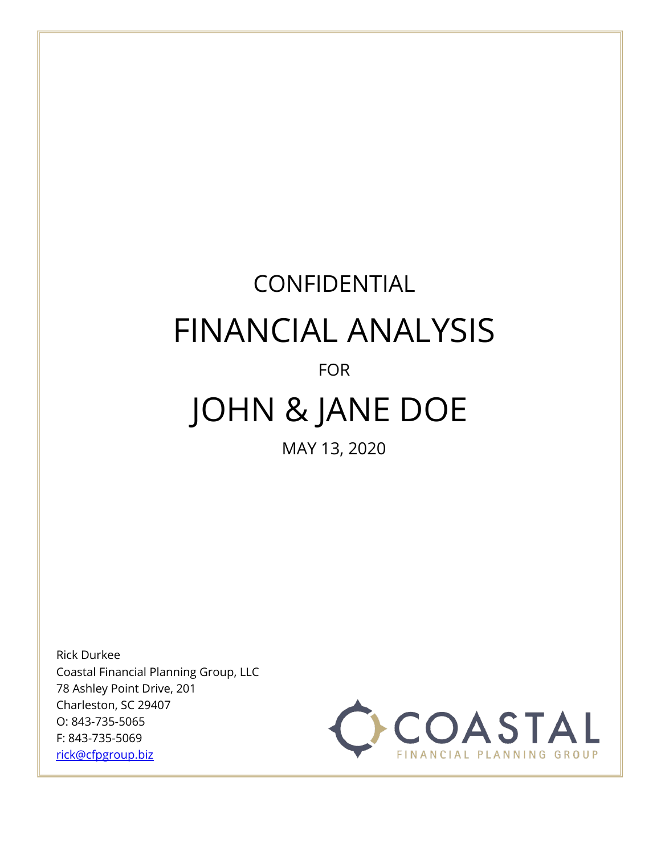# CONFIDENTIAL FINANCIAL ANALYSIS

# FOR

# JOHN & JANE DOE

MAY 13, 2020

Rick Durkee Coastal Financial Planning Group, LLC 78 Ashley Point Drive, 201 Charleston, SC 29407 O: 843-735-5065 F: 843-735-5069 [rick@cfpgroup.biz](mailto:rick@cfpgroup.biz)

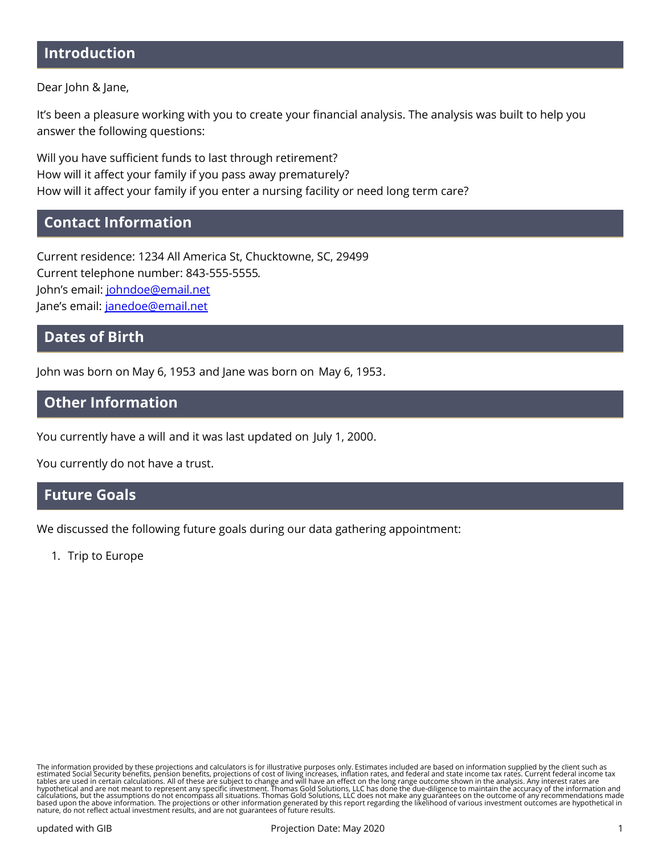# **Introduction**

Dear John & Jane,

It's been a pleasure working with you to create your financial analysis. The analysis was built to help you answer the following questions:

Will you have sufficient funds to last through retirement? How will it affect your family if you pass away prematurely? How will it affect your family if you enter a nursing facility or need long term care?

## **Contact Information**

Current residence: 1234 All America St, Chucktowne, SC, 29499 Current telephone number: 843-555-5555. John's email: [johndoe@email.net](mailto:johndoe@email.net) Jane's email: [janedoe@email.net](mailto:janedoe@email.net)

## **Dates of Birth**

John was born on May 6, 1953 and Jane was born on May 6, 1953.

## **Other Information**

You currently have a will and it was last updated on July 1, 2000.

You currently do not have a trust.

## **Future Goals**

We discussed the following future goals during our data gathering appointment:

1. Trip to Europe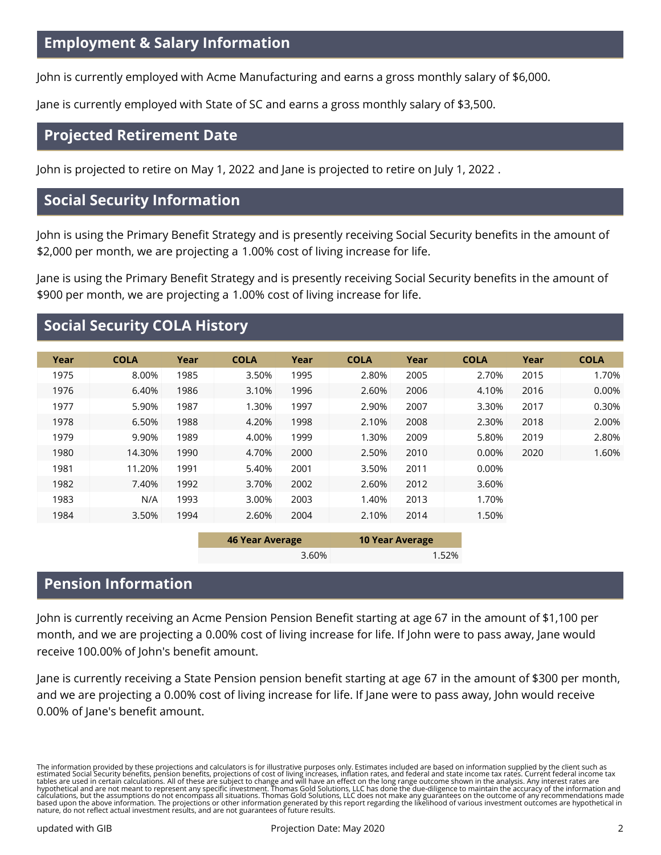John is currently employed with Acme Manufacturing and earns a gross monthly salary of \$6,000.

Jane is currently employed with State of SC and earns a gross monthly salary of \$3,500.

# **Projected Retirement Date**

John is projected to retire on May 1, 2022 and Jane is projected to retire on July 1, 2022 .

# **Social Security Information**

John is using the Primary Benefit Strategy and is presently receiving Social Security benefits in the amount of \$2,000 per month, we are projecting a 1.00% cost of living increase for life.

Jane is using the Primary Benefit Strategy and is presently receiving Social Security benefits in the amount of \$900 per month, we are projecting a 1.00% cost of living increase for life.

# **Social Security COLA History**

| Year | <b>COLA</b> | Year | <b>COLA</b> | Year | <b>COLA</b> | Year | <b>COLA</b> | Year | <b>COLA</b> |
|------|-------------|------|-------------|------|-------------|------|-------------|------|-------------|
| 1975 | 8.00%       | 1985 | 3.50%       | 1995 | 2.80%       | 2005 | 2.70%       | 2015 | 1.70%       |
| 1976 | 6.40%       | 1986 | 3.10%       | 1996 | 2.60%       | 2006 | 4.10%       | 2016 | 0.00%       |
| 1977 | 5.90%       | 1987 | 1.30%       | 1997 | 2.90%       | 2007 | 3.30%       | 2017 | 0.30%       |
| 1978 | 6.50%       | 1988 | 4.20%       | 1998 | 2.10%       | 2008 | 2.30%       | 2018 | 2.00%       |
| 1979 | 9.90%       | 1989 | 4.00%       | 1999 | 1.30%       | 2009 | 5.80%       | 2019 | 2.80%       |
| 1980 | 14.30%      | 1990 | 4.70%       | 2000 | 2.50%       | 2010 | 0.00%       | 2020 | 1.60%       |
| 1981 | 11.20%      | 1991 | 5.40%       | 2001 | 3.50%       | 2011 | 0.00%       |      |             |
| 1982 | 7.40%       | 1992 | 3.70%       | 2002 | 2.60%       | 2012 | 3.60%       |      |             |
| 1983 | N/A         | 1993 | 3.00%       | 2003 | 1.40%       | 2013 | 1.70%       |      |             |
| 1984 | 3.50%       | 1994 | 2.60%       | 2004 | 2.10%       | 2014 | 1.50%       |      |             |
|      |             |      |             |      |             |      |             |      |             |

| 46 Year Average | <b>10 Year Average</b> |
|-----------------|------------------------|
| $3.60\%$        | 1.52%                  |

# **Pension Information**

John is currently receiving an Acme Pension Pension Benefit starting at age 67 in the amount of \$1,100 per month, and we are projecting a 0.00% cost of living increase for life. If John were to pass away, Jane would receive 100.00% of John's benefit amount.

Jane is currently receiving a State Pension pension benefit starting at age 67 in the amount of \$300 per month, and we are projecting a 0.00% cost of living increase for life. If Jane were to pass away, John would receive 0.00% of Jane's benefit amount.

The information provided by these projections and calculators is for illustrative purposes only. Estimates included are based on information supplied by the client such as<br>estimated Social Security benefits, pension benefi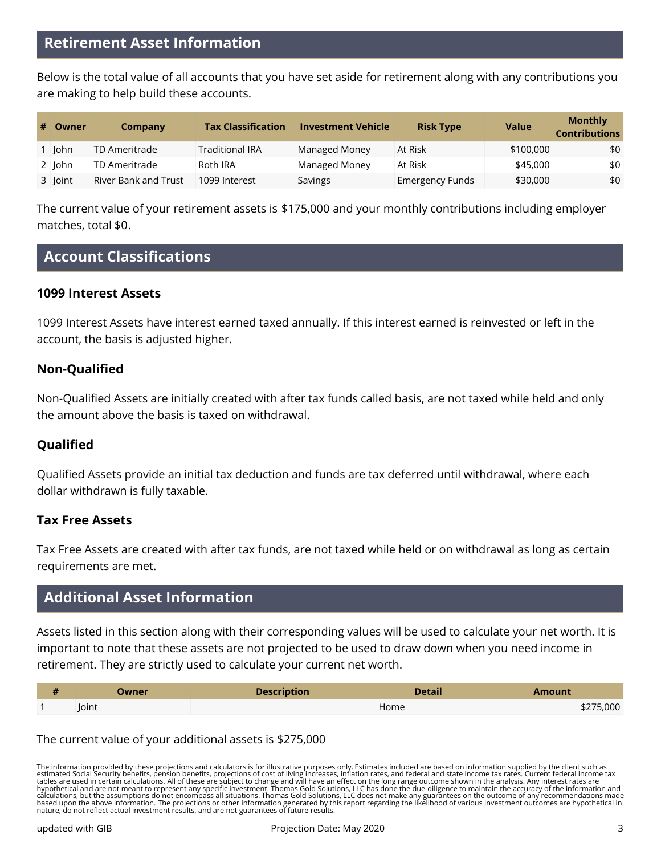Below is the total value of all accounts that you have set aside for retirement along with any contributions you are making to help build these accounts.

| # Owner         | Company                     | <b>Tax Classification</b> | <b>Investment Vehicle</b> | <b>Risk Type</b>       | <b>Value</b> | <b>Monthly</b><br>Contributions |
|-----------------|-----------------------------|---------------------------|---------------------------|------------------------|--------------|---------------------------------|
| John            | TD Ameritrade               | <b>Traditional IRA</b>    | <b>Managed Money</b>      | At Risk                | \$100,000    | \$0                             |
| $2$   $\lambda$ | TD Ameritrade               | Roth IRA                  | Managed Money             | At Risk                | \$45,000     | \$0                             |
| 3 Joint         | <b>River Bank and Trust</b> | 1099 Interest             | Savings                   | <b>Emergency Funds</b> | \$30,000     | \$0                             |

The current value of your retirement assets is \$175,000 and your monthly contributions including employer matches, total \$0.

# **Account Classifications**

## **1099 Interest Assets**

1099 Interest Assets have interest earned taxed annually. If this interest earned is reinvested or left in the account, the basis is adjusted higher.

## **Non-Qualified**

Non-Qualified Assets are initially created with after tax funds called basis, are not taxed while held and only the amount above the basis is taxed on withdrawal.

## **Qualified**

Qualified Assets provide an initial tax deduction and funds are tax deferred until withdrawal, where each dollar withdrawn is fully taxable.

## **Tax Free Assets**

Tax Free Assets are created with after tax funds, are not taxed while held or on withdrawal as long as certain requirements are met.

# **Additional Asset Information**

Assets listed in this section along with their corresponding values will be used to calculate your net worth. It is important to note that these assets are not projected to be used to draw down when you need income in retirement. They are strictly used to calculate your current net worth.

| <b>Description</b><br>Owner |  | <b>Detail</b> | Amount    |  |
|-----------------------------|--|---------------|-----------|--|
| Joint                       |  | Home          | \$275,000 |  |

## The current value of your additional assets is \$275,000

The information provided by these projections and calculators is for illustrative purposes only. Estimates included are based on information supplied by the client such as<br>estimated Social Security benefits, pension benefi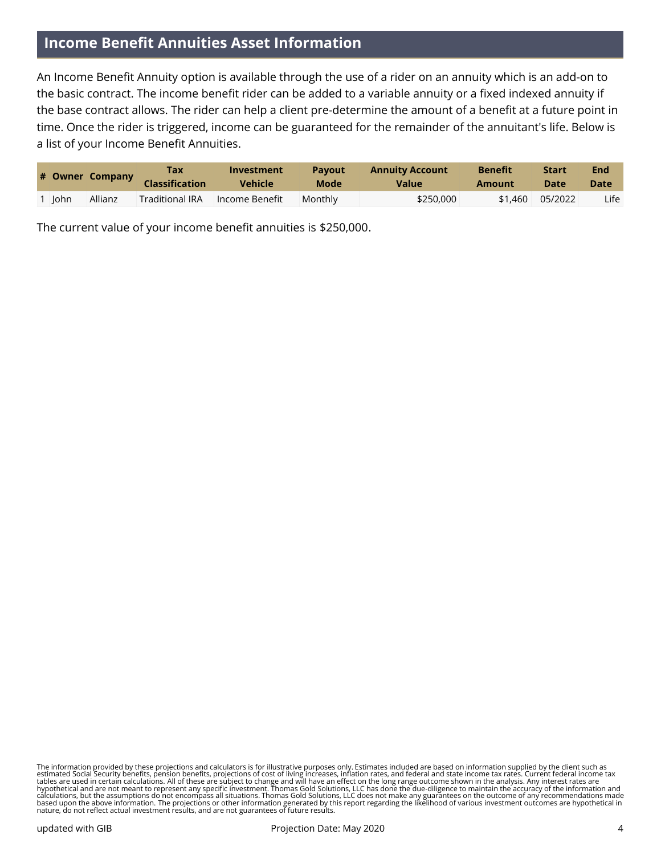# **Income Benefit Annuities Asset Information**

An Income Benefit Annuity option is available through the use of a rider on an annuity which is an add-on to the basic contract. The income benefit rider can be added to a variable annuity or a fixed indexed annuity if the base contract allows. The rider can help a client pre-determine the amount of a benefit at a future point in time. Once the rider is triggered, income can be guaranteed for the remainder of the annuitant's life. Below is a list of your Income Benefit Annuities.

|      | # Owner Company | Tax<br><b>Classification</b> | Investment<br><b>Vehicle</b> | <b>Pavout</b><br>Mode | <b>Annuity Account</b><br><b>Value</b> | <b>Benefit</b><br>Amount | <b>Start</b><br><b>Date</b> | End<br><b>Date</b> |
|------|-----------------|------------------------------|------------------------------|-----------------------|----------------------------------------|--------------------------|-----------------------------|--------------------|
| John | Allianz         | <b>Traditional IRA</b>       | Income Benefit               | Monthly               | \$250,000                              | \$1,460                  | 05/2022                     | Life l             |

The current value of your income benefit annuities is \$250,000.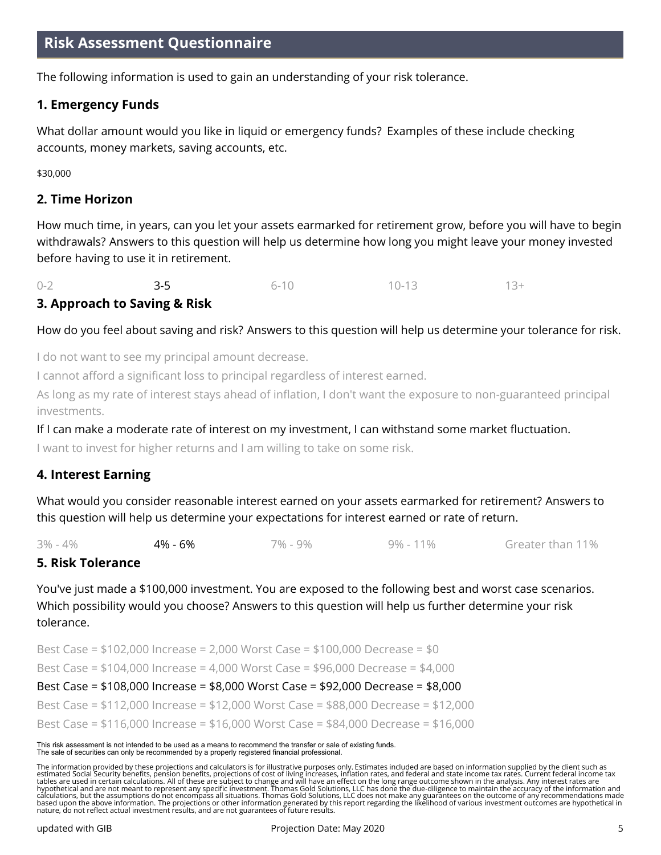## **Risk Assessment Questionnaire**

The following information is used to gain an understanding of your risk tolerance.

### **1. Emergency Funds**

What dollar amount would you like in liquid or emergency funds? Examples of these include checking accounts, money markets, saving accounts, etc.

\$30,000

## **2. Time Horizon**

How much time, in years, can you let your assets earmarked for retirement grow, before you will have to begin withdrawals? Answers to this question will help us determine how long you might leave your money invested before having to use it in retirement.

 $0-2$  3-5 6-10 10-13 13+

## **3. Approach to Saving & Risk**

#### How do you feel about saving and risk? Answers to this question will help us determine your tolerance for risk.

I do not want to see my principal amount decrease.

I cannot afford a significant loss to principal regardless of interest earned.

As long as my rate of interest stays ahead of inflation, I don't want the exposure to non-guaranteed principal investments.

If I can make a moderate rate of interest on my investment, I can withstand some market fluctuation.

I want to invest for higher returns and I am willing to take on some risk.

#### **4. Interest Earning**

What would you consider reasonable interest earned on your assets earmarked for retirement? Answers to this question will help us determine your expectations for interest earned or rate of return.

3% - 4% 4% - 6% 7% - 9% 9% - 11% Greater than 11%

#### **5. Risk Tolerance**

You've just made a \$100,000 investment. You are exposed to the following best and worst case scenarios. Which possibility would you choose? Answers to this question will help us further determine your risk tolerance.

Best Case = \$102,000 Increase = 2,000 Worst Case = \$100,000 Decrease = \$0 Best Case = \$104,000 Increase = 4,000 Worst Case = \$96,000 Decrease = \$4,000 Best Case = \$108,000 Increase = \$8,000 Worst Case = \$92,000 Decrease = \$8,000 Best Case = \$112,000 Increase = \$12,000 Worst Case = \$88,000 Decrease = \$12,000 Best Case = \$116,000 Increase = \$16,000 Worst Case = \$84,000 Decrease = \$16,000

## This risk assessment is not intended to be used as a means to recommend the transfer or sale of existing funds. The sale of securities can only be recommended by a properly registered financial professional.

The information provided by these projections and calculators is for illustrative purposes only. Estimates included are based on information supplied by the client such as<br>estimated Social Security benefits, pension benefi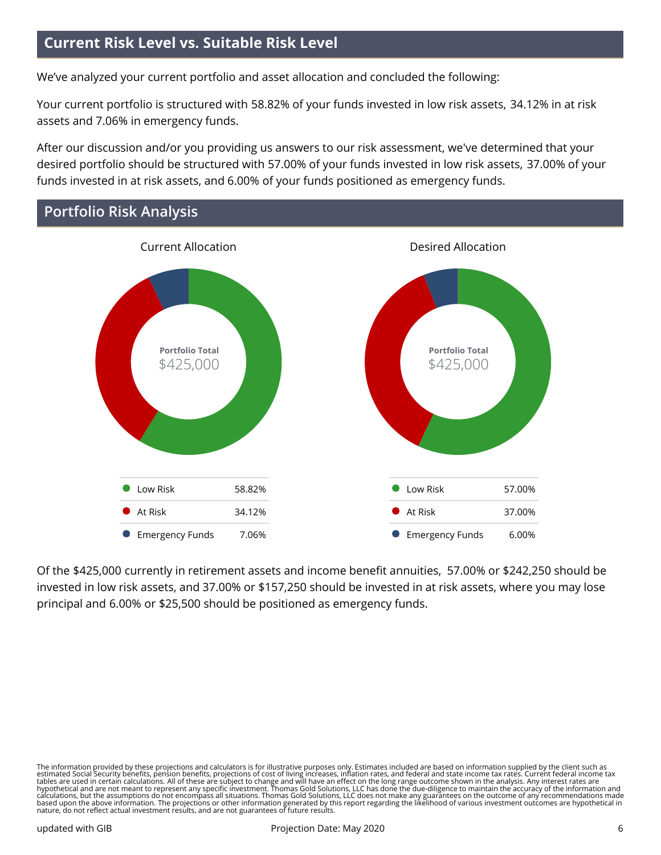# **Current Risk Level vs. Suitable Risk Level**

We've analyzed your current portfolio and asset allocation and concluded the following:

Your current portfolio is structured with 58.82% of your funds invested in low risk assets, 34.12% in at risk assets and 7.06% in emergency funds.

After our discussion and/or you providing us answers to our risk assessment, we've determined that your desired portfolio should be structured with 57.00% of your funds invested in low risk assets, 37.00% of your funds invested in at risk assets, and 6.00% of your funds positioned as emergency funds.

# **Portfolio Risk Analysis**



Of the \$425,000 currently in retirement assets and income benefit annuities, 57.00% or \$242,250 should be invested in low risk assets, and 37.00% or \$157,250 should be invested in at risk assets, where you may lose principal and 6.00% or \$25,500 should be positioned as emergency funds.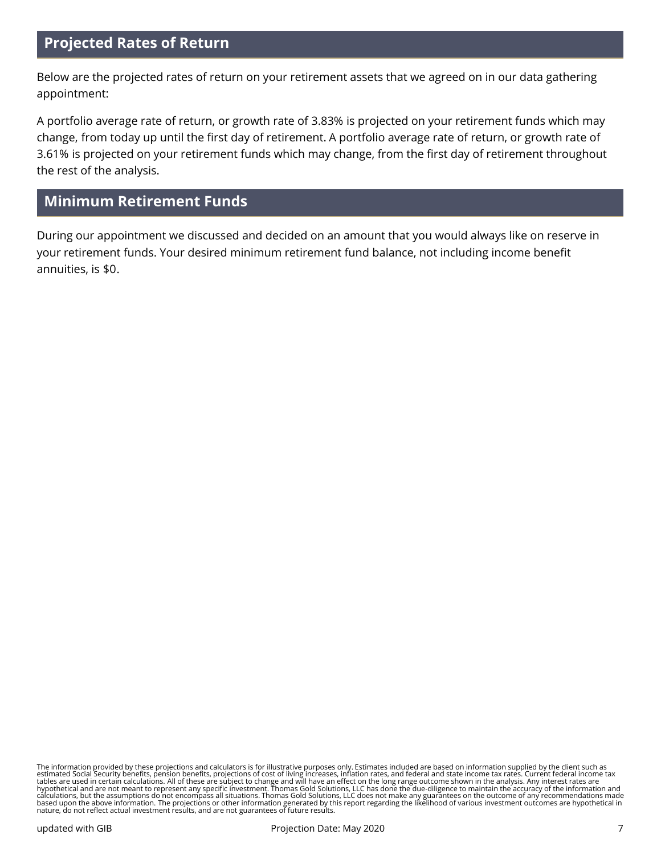## **Projected Rates of Return**

Below are the projected rates of return on your retirement assets that we agreed on in our data gathering appointment:

A portfolio average rate of return, or growth rate of 3.83% is projected on your retirement funds which may change, from today up until the first day of retirement. A portfolio average rate of return, or growth rate of 3.61% is projected on your retirement funds which may change, from the first day of retirement throughout the rest of the analysis.

# **Minimum Retirement Funds**

During our appointment we discussed and decided on an amount that you would always like on reserve in your retirement funds. Your desired minimum retirement fund balance, not including income benefit annuities, is \$0.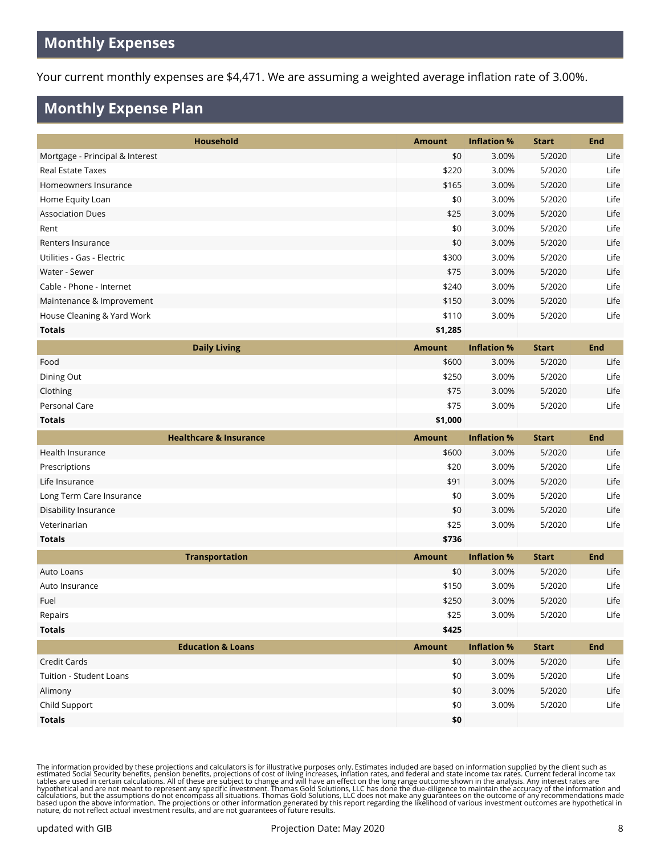# **Monthly Expenses**

Your current monthly expenses are \$4,471. We are assuming a weighted average inflation rate of 3.00%.

# **Monthly Expense Plan**

| Household                         | <b>Amount</b> | <b>Inflation %</b> | <b>Start</b> | <b>End</b> |
|-----------------------------------|---------------|--------------------|--------------|------------|
| Mortgage - Principal & Interest   | \$0           | 3.00%              | 5/2020       | Life       |
| <b>Real Estate Taxes</b>          | \$220         | 3.00%              | 5/2020       | Life       |
| Homeowners Insurance              | \$165         | 3.00%              | 5/2020       | Life       |
| Home Equity Loan                  | \$0           | 3.00%              | 5/2020       | Life       |
| <b>Association Dues</b>           | \$25          | 3.00%              | 5/2020       | Life       |
| Rent                              | \$0           | 3.00%              | 5/2020       | Life       |
| Renters Insurance                 | \$0           | 3.00%              | 5/2020       | Life       |
| Utilities - Gas - Electric        | \$300         | 3.00%              | 5/2020       | Life       |
| Water - Sewer                     | \$75          | 3.00%              | 5/2020       | Life       |
| Cable - Phone - Internet          | \$240         | 3.00%              | 5/2020       | Life       |
| Maintenance & Improvement         | \$150         | 3.00%              | 5/2020       | Life       |
| House Cleaning & Yard Work        | \$110         | 3.00%              | 5/2020       | Life       |
| <b>Totals</b>                     | \$1,285       |                    |              |            |
| <b>Daily Living</b>               | <b>Amount</b> | <b>Inflation %</b> | <b>Start</b> | <b>End</b> |
| Food                              | \$600         | 3.00%              | 5/2020       | Life       |
| Dining Out                        | \$250         | 3.00%              | 5/2020       | Life       |
| Clothing                          | \$75          | 3.00%              | 5/2020       | Life       |
| Personal Care                     | \$75          | 3.00%              | 5/2020       | Life       |
| Totals                            | \$1,000       |                    |              |            |
|                                   |               |                    |              |            |
| <b>Healthcare &amp; Insurance</b> | <b>Amount</b> | <b>Inflation %</b> | <b>Start</b> | <b>End</b> |
| Health Insurance                  | \$600         | 3.00%              | 5/2020       | Life       |
| Prescriptions                     | \$20          | 3.00%              | 5/2020       | Life       |
| Life Insurance                    | \$91          | 3.00%              | 5/2020       | Life       |
| Long Term Care Insurance          | \$0           | 3.00%              | 5/2020       | Life       |
| Disability Insurance              | \$0           | 3.00%              | 5/2020       | Life       |
| Veterinarian                      | \$25          | 3.00%              | 5/2020       | Life       |
| <b>Totals</b>                     | \$736         |                    |              |            |
| <b>Transportation</b>             | <b>Amount</b> | <b>Inflation %</b> | <b>Start</b> | <b>End</b> |
| Auto Loans                        | \$0           | 3.00%              | 5/2020       | Life       |
| Auto Insurance                    | \$150         | 3.00%              | 5/2020       | Life       |
| Fuel                              | \$250         | 3.00%              | 5/2020       | Life       |
| Repairs                           | \$25          | 3.00%              | 5/2020       | Life       |
| <b>Totals</b>                     | \$425         |                    |              |            |
| <b>Education &amp; Loans</b>      | <b>Amount</b> | <b>Inflation %</b> | <b>Start</b> | <b>End</b> |
| Credit Cards                      | $$0$$         | 3.00%              | 5/2020       | Life       |
| Tuition - Student Loans           | \$0           | 3.00%              | 5/2020       | Life       |
| Alimony                           | \$0           | 3.00%              | 5/2020       | Life       |
| Child Support                     | \$0           | 3.00%              | 5/2020       | Life       |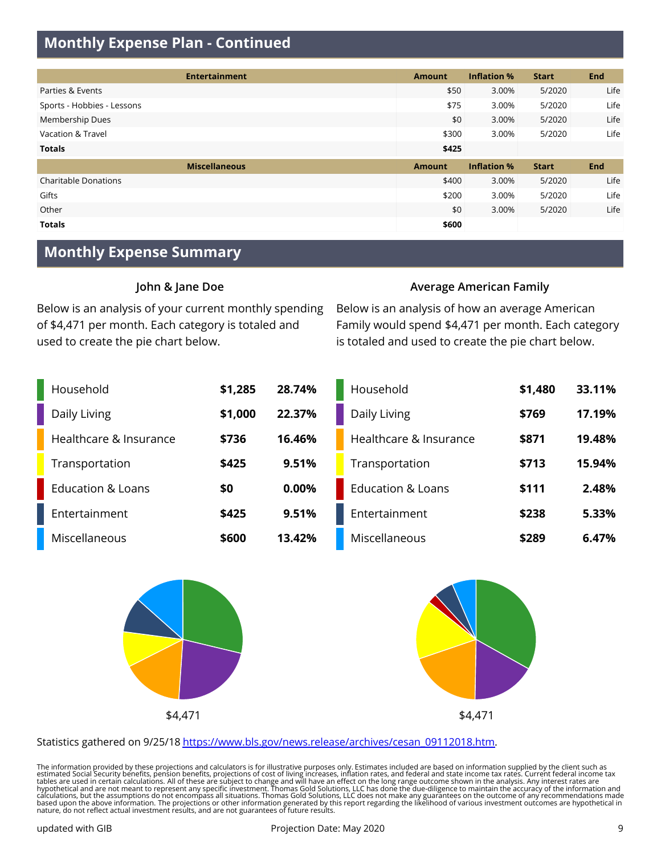# **Monthly Expense Plan - Continued**

| <b>Entertainment</b>        | <b>Amount</b> | <b>Inflation %</b> | <b>Start</b> | <b>End</b> |
|-----------------------------|---------------|--------------------|--------------|------------|
| Parties & Events            | \$50          | 3.00%              | 5/2020       | Life       |
| Sports - Hobbies - Lessons  | \$75          | 3.00%              | 5/2020       | Life       |
| Membership Dues             | \$0           | 3.00%              | 5/2020       | Life       |
| Vacation & Travel           | \$300         | 3.00%              | 5/2020       | Life       |
| <b>Totals</b>               | \$425         |                    |              |            |
| <b>Miscellaneous</b>        | <b>Amount</b> | <b>Inflation %</b> | <b>Start</b> | <b>End</b> |
| <b>Charitable Donations</b> | \$400         | 3.00%              | 5/2020       | Life       |
| Gifts                       | \$200         | 3.00%              | 5/2020       | Life       |
| Other                       | \$0           | 3.00%              | 5/2020       | Life       |
| <b>Totals</b>               | \$600         |                    |              |            |

## **Monthly Expense Summary**

#### **John & Jane Doe**

Below is an analysis of your current monthly spending of \$4,471 per month. Each category is totaled and used to create the pie chart below.

#### **Average American Family**

Below is an analysis of how an average American Family would spend \$4,471 per month. Each category is totaled and used to create the pie chart below.

| Household                    | \$1,285 | 28.74% | Household                    | \$1,480 | 33.11% |
|------------------------------|---------|--------|------------------------------|---------|--------|
| Daily Living                 | \$1,000 | 22.37% | Daily Living                 | \$769   | 17.19% |
| Healthcare & Insurance       | \$736   | 16.46% | Healthcare & Insurance       | \$871   | 19.48% |
| Transportation               | \$425   | 9.51%  | Transportation               | \$713   | 15.94% |
| <b>Education &amp; Loans</b> | \$0     | 0.00%  | <b>Education &amp; Loans</b> | \$111   | 2.48%  |
| Entertainment                | \$425   | 9.51%  | Entertainment                | \$238   | 5.33%  |
| Miscellaneous                | \$600   | 13.42% | Miscellaneous                | \$289   | 6.47%  |





#### Statistics gathered on 9/25/18 [https://www.bls.gov/news.release/archives/cesan\\_09112018.htm](https://www.bls.gov/news.release/archives/cesan_09112018.htm).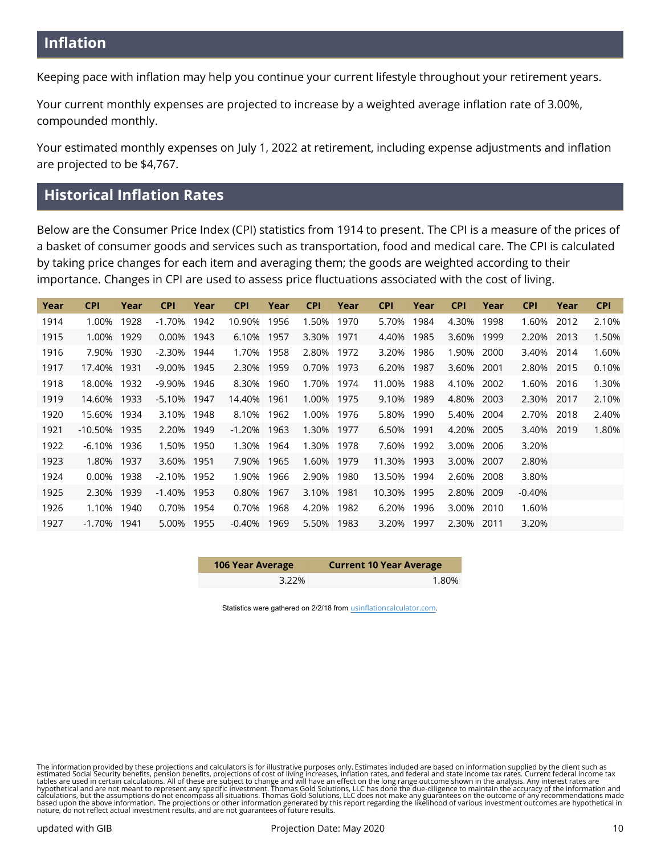Keeping pace with inflation may help you continue your current lifestyle throughout your retirement years.

Your current monthly expenses are projected to increase by a weighted average inflation rate of 3.00%, compounded monthly.

Your estimated monthly expenses on July 1, 2022 at retirement, including expense adjustments and inflation are projected to be \$4,767.

# **Historical Inflation Rates**

Below are the Consumer Price Index (CPI) statistics from 1914 to present. The CPI is a measure of the prices of a basket of consumer goods and services such as transportation, food and medical care. The CPI is calculated by taking price changes for each item and averaging them; the goods are weighted according to their importance. Changes in CPI are used to assess price fluctuations associated with the cost of living.

| Year | <b>CPI</b> | Year | <b>CPI</b> | Year | <b>CPI</b> | Year | <b>CPI</b> | Year | <b>CPI</b> | Year | <b>CPI</b> | Year | <b>CPI</b> | Year | <b>CPI</b> |
|------|------------|------|------------|------|------------|------|------------|------|------------|------|------------|------|------------|------|------------|
| 1914 | 1.00%      | 1928 | $-1.70%$   | 1942 | 10.90%     | 1956 | 1.50%      | 1970 | 5.70%      | 1984 | 4.30%      | 1998 | 1.60%      | 2012 | 2.10%      |
| 1915 | 1.00%      | 1929 | 0.00%      | 1943 | 6.10%      | 1957 | 3.30%      | 1971 | 4.40%      | 1985 | 3.60%      | 1999 | 2.20%      | 2013 | 1.50%      |
| 1916 | 7.90%      | 1930 | $-2.30%$   | 1944 | 1.70%      | 1958 | $2.80\%$   | 1972 | 3.20%      | 1986 | 1.90%      | 2000 | 3.40%      | 2014 | 1.60%      |
| 1917 | 17.40%     | 1931 | $-9.00\%$  | 1945 | 2.30%      | 1959 | 0.70%      | 1973 | 6.20%      | 1987 | 3.60%      | 2001 | 2.80%      | 2015 | 0.10%      |
| 1918 | 18.00%     | 1932 | -9.90%     | 1946 | 8.30%      | 1960 | 1.70%      | 1974 | 11.00%     | 1988 | 4.10%      | 2002 | 1.60%      | 2016 | 1.30%      |
| 1919 | 14.60%     | 1933 | $-5.10%$   | 1947 | 14.40%     | 1961 | 1.00%      | 1975 | 9.10%      | 1989 | 4.80%      | 2003 | 2.30%      | 2017 | 2.10%      |
| 1920 | 15.60%     | 1934 | 3.10%      | 1948 | 8.10%      | 1962 | $1.00\%$   | 1976 | 5.80%      | 1990 | 5.40%      | 2004 | 2.70%      | 2018 | 2.40%      |
| 1921 | $-10.50\%$ | 1935 | 2.20%      | 1949 | $-1.20%$   | 1963 | 1.30%      | 1977 | 6.50%      | 1991 | 4.20%      | 2005 | 3.40%      | 2019 | 1.80%      |
| 1922 | $-6.10%$   | 1936 | 1.50%      | 1950 | 1.30%      | 1964 | 1.30%      | 1978 | 7.60%      | 1992 | 3.00%      | 2006 | 3.20%      |      |            |
| 1923 | 1.80%      | 1937 | 3.60%      | 1951 | 7.90%      | 1965 | 1.60%      | 1979 | 11.30%     | 1993 | 3.00%      | 2007 | 2.80%      |      |            |
| 1924 | 0.00%      | 1938 | $-2.10%$   | 1952 | 1.90%      | 1966 | 2.90%      | 1980 | 13.50%     | 1994 | 2.60%      | 2008 | 3.80%      |      |            |
| 1925 | 2.30%      | 1939 | $-1.40%$   | 1953 | 0.80%      | 1967 | 3.10%      | 1981 | 10.30%     | 1995 | 2.80%      | 2009 | $-0.40%$   |      |            |
| 1926 | 1.10%      | 1940 | 0.70%      | 1954 | 0.70%      | 1968 | 4.20%      | 1982 | 6.20%      | 1996 | 3.00%      | 2010 | 1.60%      |      |            |
| 1927 | -1.70%     | 1941 | 5.00%      | 1955 | $-0.40%$   | 1969 | 5.50%      | 1983 | 3.20%      | 1997 | 2.30%      | 2011 | 3.20%      |      |            |

| 106 Year Average | <b>Current 10 Year Average</b> |
|------------------|--------------------------------|
| $3.22\%$         | 1.80%                          |

Statistics were gathered on 2/2/18 from [usinflationcalculator.com](http://www.usinflationcalculator.com/inflation/consumer-price-index-and-annual-percent-changes-from-1913-to-2008/).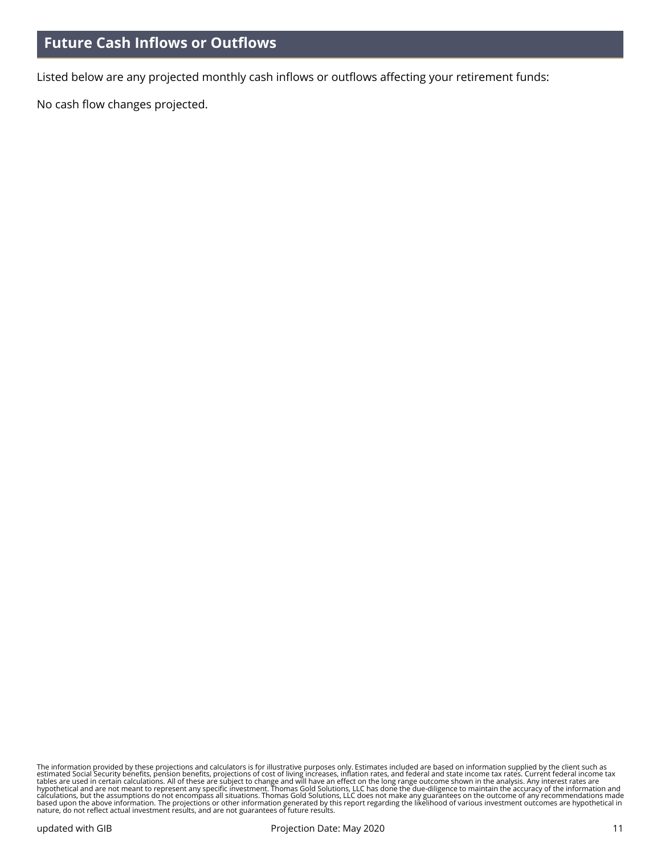Listed below are any projected monthly cash inflows or outflows affecting your retirement funds:

No cash flow changes projected.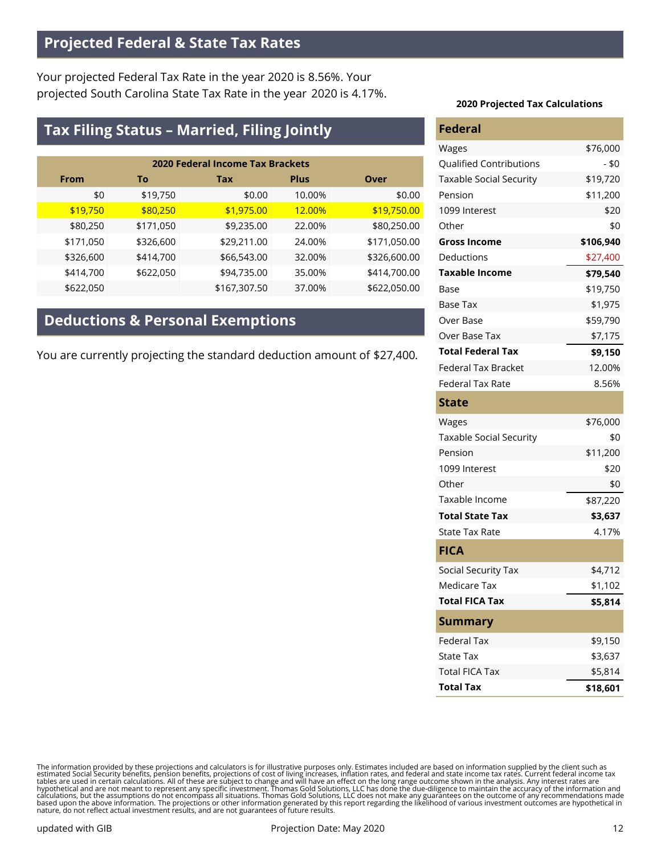# **Projected Federal & State Tax Rates**

Your projected Federal Tax Rate in the year 2020 is 8.56%. Your projected South Carolina State Tax Rate in the year 2020 is 4.17%.

# **Tax Filing Status – Married, Filing Jointly**

| <b>2020 Federal Income Tax Brackets</b> |           |              |             |              |  |  |
|-----------------------------------------|-----------|--------------|-------------|--------------|--|--|
| <b>From</b>                             | То        | Tax          | <b>Plus</b> | Over         |  |  |
| \$0                                     | \$19,750  | \$0.00       | 10.00%      | \$0.00       |  |  |
| \$19,750                                | \$80,250  | \$1,975.00   | 12.00%      | \$19,750.00  |  |  |
| \$80,250                                | \$171,050 | \$9,235.00   | 22.00%      | \$80,250.00  |  |  |
| \$171,050                               | \$326,600 | \$29,211.00  | 24.00%      | \$171,050.00 |  |  |
| \$326,600                               | \$414,700 | \$66,543.00  | 32.00%      | \$326,600.00 |  |  |
| \$414,700                               | \$622,050 | \$94,735.00  | 35.00%      | \$414,700.00 |  |  |
| \$622,050                               |           | \$167,307.50 | 37.00%      | \$622,050.00 |  |  |

# **Deductions & Personal Exemptions**

You are currently projecting the standard deduction amount of \$27,400.

#### **2020 Projected Tax Calculations**

| <b>Federal</b>                 |           |
|--------------------------------|-----------|
| Wages                          | \$76,000  |
| <b>Qualified Contributions</b> | $- $0$    |
| <b>Taxable Social Security</b> | \$19,720  |
| Pension                        | \$11,200  |
| 1099 Interest                  | \$20      |
| Other                          | \$0       |
| <b>Gross Income</b>            | \$106,940 |
| Deductions                     | \$27,400  |
| <b>Taxable Income</b>          | \$79,540  |
| Base                           | \$19,750  |
| Base Tax                       | \$1,975   |
| Over Base                      | \$59,790  |
| Over Base Tax                  | \$7,175   |
| <b>Total Federal Tax</b>       | \$9,150   |
| Federal Tax Bracket            | 12.00%    |
| <b>Federal Tax Rate</b>        | 8.56%     |
| State                          |           |
| Wages                          | \$76,000  |
| <b>Taxable Social Security</b> | \$0       |
| Pension                        | \$11,200  |
| 1099 Interest                  | \$20      |
| Other                          | \$0       |
| Taxable Income                 | \$87,220  |
| Total State Tax                | \$3,637   |
| State Tax Rate                 | 4.17%     |
| <b>FICA</b>                    |           |
| Social Security Tax            | \$4,712   |
| <b>Medicare Tax</b>            | \$1,102   |
| <b>Total FICA Tax</b>          | \$5,814   |
| Summary                        |           |
| <b>Federal Tax</b>             | \$9,150   |
| <b>State Tax</b>               | \$3,637   |
| <b>Total FICA Tax</b>          | \$5,814   |
| <b>Total Tax</b>               | \$18,601  |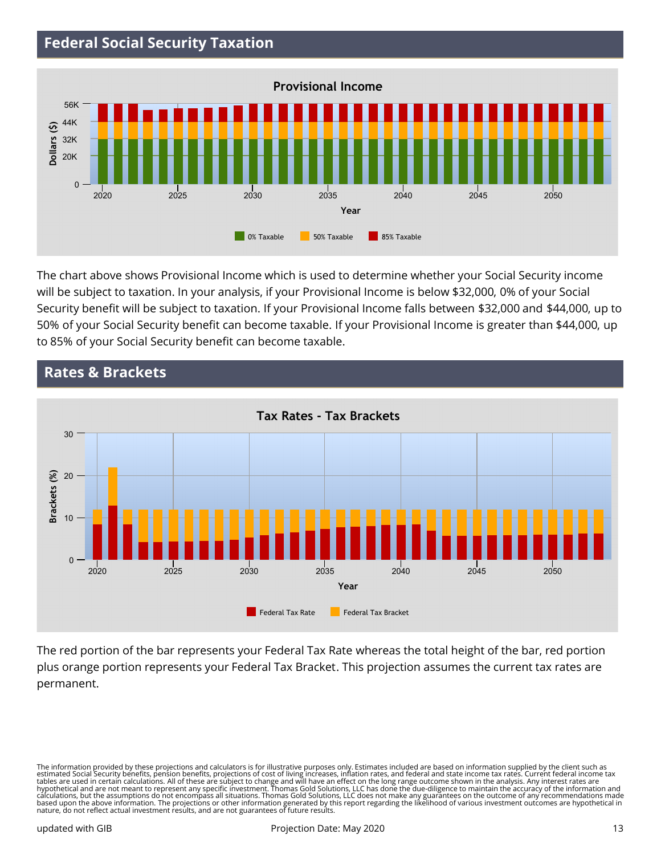# **Federal Social Security Taxation**



The chart above shows Provisional Income which is used to determine whether your Social Security income will be subject to taxation. In your analysis, if your Provisional Income is below \$32,000, 0% of your Social Security benefit will be subject to taxation. If your Provisional Income falls between \$32,000 and \$44,000, up to 50% of your Social Security benefit can become taxable. If your Provisional Income is greater than \$44,000, up to 85% of your Social Security benefit can become taxable.



**Rates & Brackets**

The red portion of the bar represents your Federal Tax Rate whereas the total height of the bar, red portion plus orange portion represents your Federal Tax Bracket. This projection assumes the current tax rates are permanent.

The information provided by these projections and calculators is for illustrative purposes only. Estimates included are based on information supplied by the client such as<br>estimated Social Security benefits, pension benefi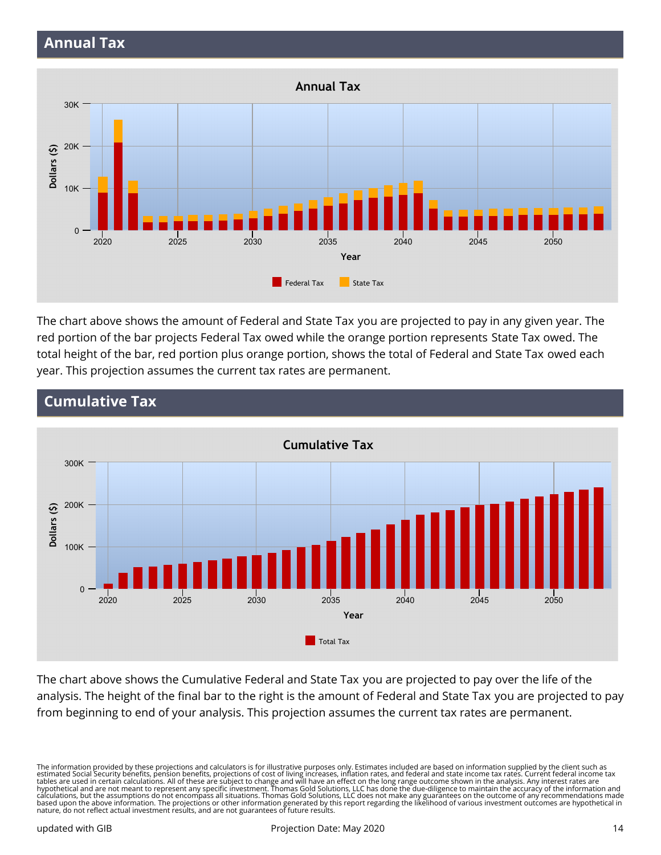

The chart above shows the amount of Federal and State Tax you are projected to pay in any given year. The red portion of the bar projects Federal Tax owed while the orange portion represents State Tax owed. The total height of the bar, red portion plus orange portion, shows the total of Federal and State Tax owed each year. This projection assumes the current tax rates are permanent.



# **Cumulative Tax**

The chart above shows the Cumulative Federal and State Tax you are projected to pay over the life of the analysis. The height of the final bar to the right is the amount of Federal and State Tax you are projected to pay from beginning to end of your analysis. This projection assumes the current tax rates are permanent.

The information provided by these projections and calculators is for illustrative purposes only. Estimates included are based on information supplied by the client such as<br>estimated Social Security benefits, pension benefi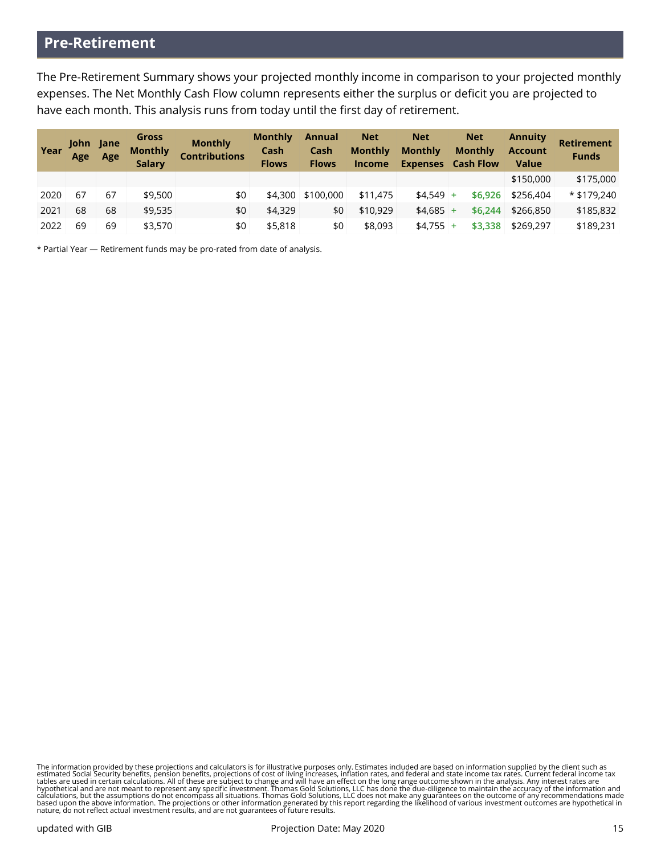# **Pre-Retirement**

The Pre-Retirement Summary shows your projected monthly income in comparison to your projected monthly expenses. The Net Monthly Cash Flow column represents either the surplus or deficit you are projected to have each month. This analysis runs from today until the first day of retirement.

| Year | John Jane<br>Age | Age | <b>Gross</b><br><b>Monthly</b><br><b>Salary</b> | <b>Monthly</b><br><b>Contributions</b> | <b>Monthly</b><br>Cash<br><b>Flows</b> | <b>Annual</b><br>Cash<br><b>Flows</b> | <b>Net</b><br><b>Monthly</b><br><b>Income</b> | <b>Net</b><br><b>Monthly</b><br><b>Expenses</b> | <b>Net</b><br><b>Monthly</b><br><b>Cash Flow</b> | <b>Annuity</b><br><b>Account</b><br><b>Value</b> | <b>Retirement</b><br><b>Funds</b> |
|------|------------------|-----|-------------------------------------------------|----------------------------------------|----------------------------------------|---------------------------------------|-----------------------------------------------|-------------------------------------------------|--------------------------------------------------|--------------------------------------------------|-----------------------------------|
|      |                  |     |                                                 |                                        |                                        |                                       |                                               |                                                 |                                                  | \$150,000                                        | \$175,000                         |
| 2020 | 67               | 67  | \$9,500                                         | \$0                                    | \$4,300                                | \$100,000                             | \$11,475                                      | $$4.549$ +                                      | \$6,926                                          | \$256,404                                        | $*$ \$179.240                     |
| 2021 | 68               | 68  | \$9,535                                         | \$0                                    | \$4,329                                | \$0                                   | \$10,929                                      | $$4.685$ +                                      | \$6,244                                          | \$266,850                                        | \$185,832                         |
| 2022 | 69               | 69  | \$3,570                                         | \$0                                    | \$5,818                                | \$0                                   | \$8,093                                       | $$4.755$ +                                      | \$3,338                                          | \$269,297                                        | \$189,231                         |

\* Partial Year — Retirement funds may be pro-rated from date of analysis.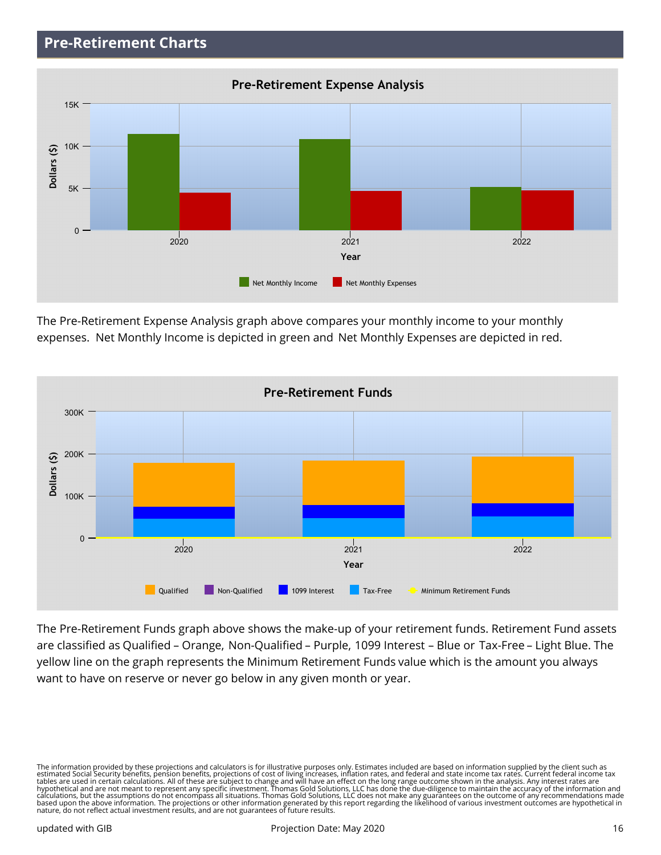# **Pre-Retirement Charts**



The Pre-Retirement Expense Analysis graph above compares your monthly income to your monthly expenses. Net Monthly Income is depicted in green and Net Monthly Expenses are depicted in red.



The Pre-Retirement Funds graph above shows the make-up of your retirement funds. Retirement Fund assets are classified as Qualified – Orange, Non-Qualified – Purple, 1099 Interest – Blue or Tax-Free – Light Blue. The yellow line on the graph represents the Minimum Retirement Funds value which is the amount you always want to have on reserve or never go below in any given month or year.

The information provided by these projections and calculators is for illustrative purposes only. Estimates included are based on information supplied by the client such as<br>estimated Social Security benefits, pension benefi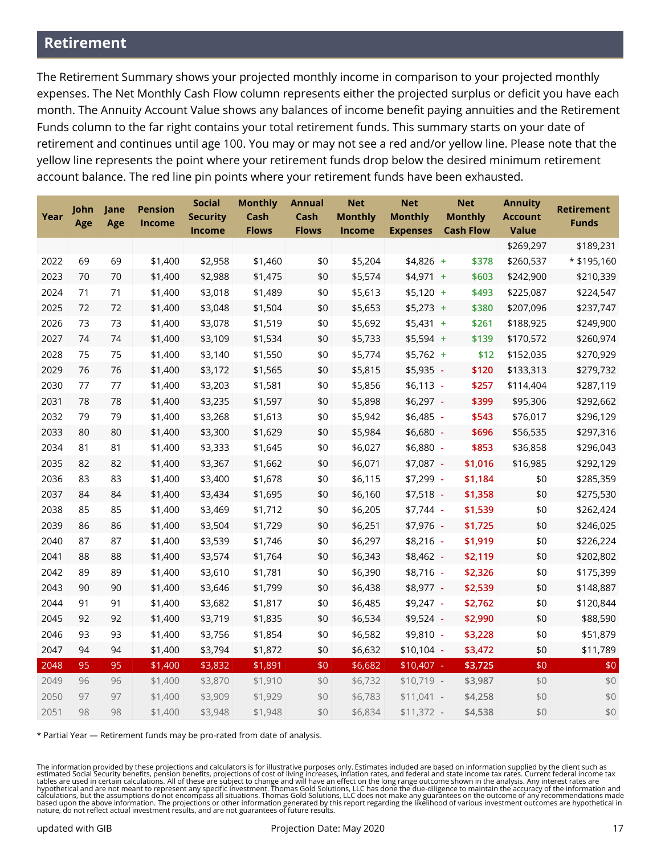## **Retirement**

The Retirement Summary shows your projected monthly income in comparison to your projected monthly expenses. The Net Monthly Cash Flow column represents either the projected surplus or deficit you have each month. The Annuity Account Value shows any balances of income benefit paying annuities and the Retirement Funds column to the far right contains your total retirement funds. This summary starts on your date of retirement and continues until age 100. You may or may not see a red and/or yellow line. Please note that the yellow line represents the point where your retirement funds drop below the desired minimum retirement account balance. The red line pin points where your retirement funds have been exhausted.

| Year | John<br>Age | Jane<br>Age | <b>Pension</b><br>Income | <b>Social</b><br><b>Security</b> | <b>Monthly</b><br>Cash | <b>Annual</b><br>Cash | <b>Net</b><br><b>Monthly</b> | <b>Net</b><br><b>Monthly</b> | <b>Net</b><br><b>Monthly</b> | <b>Annuity</b><br><b>Account</b> | <b>Retirement</b><br><b>Funds</b> |
|------|-------------|-------------|--------------------------|----------------------------------|------------------------|-----------------------|------------------------------|------------------------------|------------------------------|----------------------------------|-----------------------------------|
|      |             |             |                          | Income                           | <b>Flows</b>           | <b>Flows</b>          | Income                       | <b>Expenses</b>              | <b>Cash Flow</b>             | <b>Value</b>                     |                                   |
|      |             |             |                          |                                  |                        |                       |                              |                              |                              | \$269,297                        | \$189,231                         |
| 2022 | 69          | 69          | \$1,400                  | \$2,958                          | \$1,460                | \$0                   | \$5,204                      | $$4,826$ +                   | \$378                        | \$260,537                        | * \$195,160                       |
| 2023 | 70          | 70          | \$1,400                  | \$2,988                          | \$1,475                | \$0                   | \$5,574                      | $$4,971$ +                   | \$603                        | \$242,900                        | \$210,339                         |
| 2024 | 71          | 71          | \$1,400                  | \$3,018                          | \$1,489                | \$0                   | \$5,613                      | $$5,120$ +                   | \$493                        | \$225,087                        | \$224,547                         |
| 2025 | 72          | 72          | \$1,400                  | \$3,048                          | \$1,504                | \$0                   | \$5,653                      | $$5,273$ +                   | \$380                        | \$207,096                        | \$237,747                         |
| 2026 | 73          | 73          | \$1,400                  | \$3,078                          | \$1,519                | \$0                   | \$5,692                      | $$5,431$ +                   | \$261                        | \$188,925                        | \$249,900                         |
| 2027 | 74          | 74          | \$1,400                  | \$3,109                          | \$1,534                | \$0                   | \$5,733                      | $$5,594$ +                   | \$139                        | \$170,572                        | \$260,974                         |
| 2028 | 75          | 75          | \$1,400                  | \$3,140                          | \$1,550                | \$0                   | \$5,774                      | $$5,762$ +                   | \$12                         | \$152,035                        | \$270,929                         |
| 2029 | 76          | 76          | \$1,400                  | \$3,172                          | \$1,565                | \$0                   | \$5,815                      | \$5,935                      | \$120<br>$\blacksquare$      | \$133,313                        | \$279,732                         |
| 2030 | 77          | 77          | \$1,400                  | \$3,203                          | \$1,581                | \$0                   | \$5,856                      | \$6,113                      | \$257<br>$\blacksquare$      | \$114,404                        | \$287,119                         |
| 2031 | 78          | 78          | \$1,400                  | \$3,235                          | \$1,597                | \$0                   | \$5,898                      | $$6,297$ -                   | \$399                        | \$95,306                         | \$292,662                         |
| 2032 | 79          | 79          | \$1,400                  | \$3,268                          | \$1,613                | \$0                   | \$5,942                      | \$6,485                      | \$543<br>$\blacksquare$      | \$76,017                         | \$296,129                         |
| 2033 | 80          | 80          | \$1,400                  | \$3,300                          | \$1,629                | \$0                   | \$5,984                      | \$6,680                      | \$696<br>÷,                  | \$56,535                         | \$297,316                         |
| 2034 | 81          | 81          | \$1,400                  | \$3,333                          | \$1,645                | $$0$$                 | \$6,027                      | \$6,880                      | \$853<br>$\blacksquare$      | \$36,858                         | \$296,043                         |
| 2035 | 82          | 82          | \$1,400                  | \$3,367                          | \$1,662                | \$0                   | \$6,071                      | \$7,087                      | \$1,016<br>÷,                | \$16,985                         | \$292,129                         |
| 2036 | 83          | 83          | \$1,400                  | \$3,400                          | \$1,678                | \$0                   | \$6,115                      | \$7,299                      | \$1,184<br>$\blacksquare$    | \$0                              | \$285,359                         |
| 2037 | 84          | 84          | \$1,400                  | \$3,434                          | \$1,695                | \$0                   | \$6,160                      | \$7,518                      | \$1,358<br>$\sim$            | \$0                              | \$275,530                         |
| 2038 | 85          | 85          | \$1,400                  | \$3,469                          | \$1,712                | $$0$$                 | \$6,205                      | $$7,744$ -                   | \$1,539                      | \$0                              | \$262,424                         |
| 2039 | 86          | 86          | \$1,400                  | \$3,504                          | \$1,729                | \$0                   | \$6,251                      | \$7,976                      | \$1,725                      | \$0                              | \$246,025                         |
| 2040 | 87          | 87          | \$1,400                  | \$3,539                          | \$1,746                | \$0                   | \$6,297                      | $$8,216$ -                   | \$1,919                      | \$0                              | \$226,224                         |
| 2041 | 88          | 88          | \$1,400                  | \$3,574                          | \$1,764                | \$0                   | \$6,343                      | $$8,462$ -                   | \$2,119                      | \$0                              | \$202,802                         |
| 2042 | 89          | 89          | \$1,400                  | \$3,610                          | \$1,781                | \$0                   | \$6,390                      | $$8,716$ -                   | \$2,326                      | \$0                              | \$175,399                         |
| 2043 | 90          | 90          | \$1,400                  | \$3,646                          | \$1,799                | \$0                   | \$6,438                      | \$8,977                      | \$2,539                      | \$0                              | \$148,887                         |
| 2044 | 91          | 91          | \$1,400                  | \$3,682                          | \$1,817                | \$0                   | \$6,485                      | $$9,247$ -                   | \$2,762                      | \$0                              | \$120,844                         |
| 2045 | 92          | 92          | \$1,400                  | \$3,719                          | \$1,835                | \$0                   | \$6,534                      | \$9,524                      | \$2,990<br>÷,                | \$0                              | \$88,590                          |
| 2046 | 93          | 93          | \$1,400                  | \$3,756                          | \$1,854                | \$0                   | \$6,582                      | \$9,810                      | \$3,228<br>$\sim$            | \$0                              | \$51,879                          |
| 2047 | 94          | 94          | \$1,400                  | \$3,794                          | \$1,872                | \$0                   | \$6,632                      | $$10,104$ -                  | \$3,472                      | \$0                              | \$11,789                          |
| 2048 | 95          | 95          | \$1,400                  | \$3,832                          | \$1,891                | \$0                   | \$6,682                      | $$10,407$ -                  | \$3,725                      | \$0                              | $$0$$                             |
| 2049 | 96          | 96          | \$1,400                  | \$3,870                          | \$1,910                | \$0                   | \$6,732                      | $$10,719$ -                  | \$3,987                      | \$0                              | $$0$$                             |
| 2050 | 97          | 97          | \$1,400                  | \$3,909                          | \$1,929                | \$0                   | \$6,783                      | $$11,041$ -                  | \$4,258                      | \$0                              | \$0                               |
| 2051 | 98          | 98          | \$1,400                  | \$3,948                          | \$1,948                | \$0                   | \$6,834                      | $$11,372$ -                  | \$4,538                      | \$0                              | \$0                               |

\* Partial Year — Retirement funds may be pro-rated from date of analysis.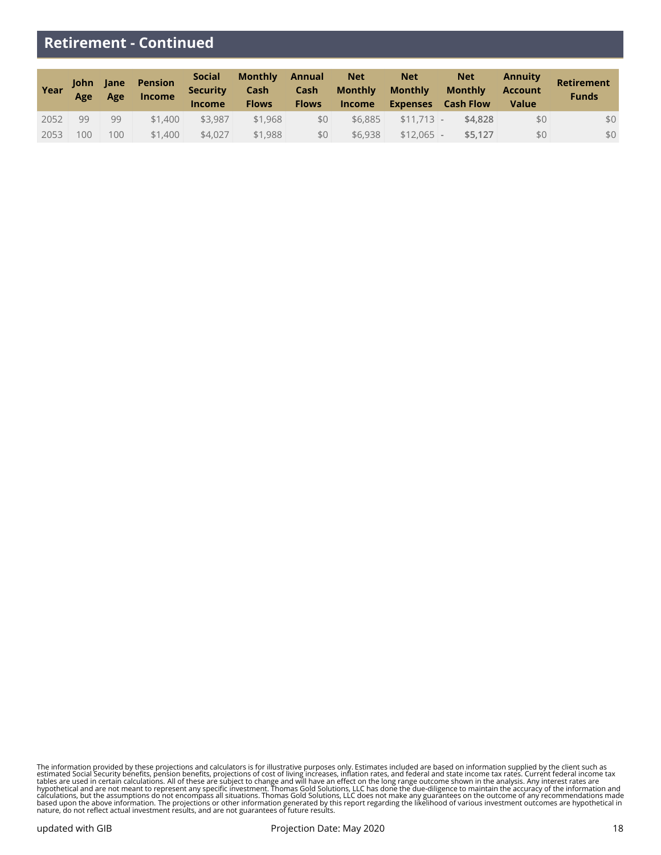## **Retirement - Continued**

| Year | John Jane<br>Age | Age              | <b>Pension</b><br><b>Income</b> | <b>Social</b><br><b>Security</b><br><b>Income</b> | <b>Monthly</b><br>Cash<br><b>Flows</b> | <b>Annual</b><br>Cash<br><b>Flows</b> | <b>Net</b><br><b>Monthly</b><br><b>Income</b> | <b>Net</b><br><b>Monthly</b><br><b>Expenses</b> | <b>Net</b><br><b>Monthly</b><br><b>Cash Flow</b> | Annuity<br><b>Account</b><br><b>Value</b> | <b>Retirement</b><br><b>Funds</b> |
|------|------------------|------------------|---------------------------------|---------------------------------------------------|----------------------------------------|---------------------------------------|-----------------------------------------------|-------------------------------------------------|--------------------------------------------------|-------------------------------------------|-----------------------------------|
| 2052 | 99               | 99               | \$1,400                         | \$3.987                                           | \$1,968                                | \$0                                   | \$6,885                                       | $$11.713$ -                                     | \$4,828                                          | \$0                                       | \$0                               |
| 2053 | 100              | 100 <sup>1</sup> | \$1,400                         | \$4.027                                           | \$1,988                                | \$0                                   | \$6,938                                       | $$12.065$ -                                     | \$5.127                                          | \$0                                       | \$0                               |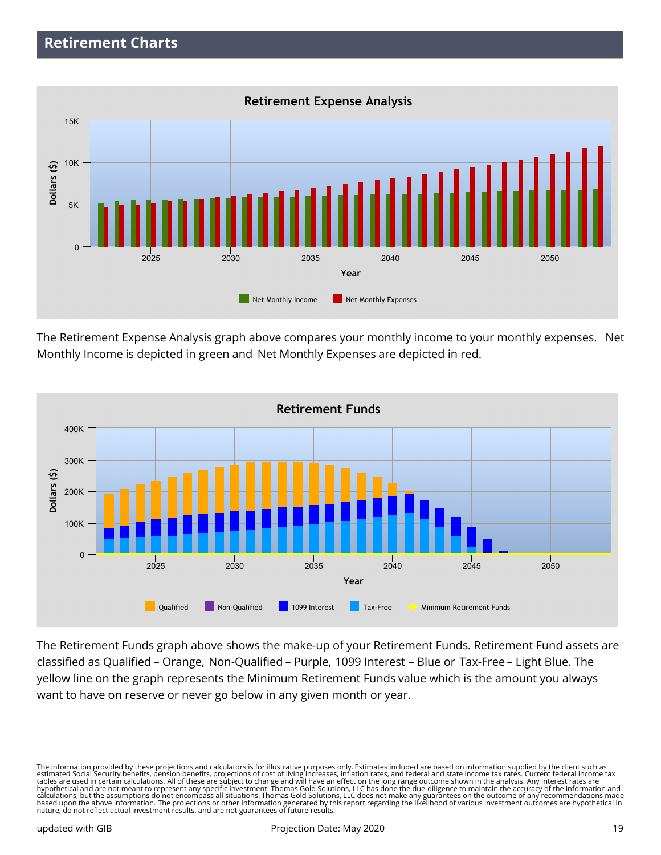

The Retirement Expense Analysis graph above compares your monthly income to your monthly expenses. Net Monthly Income is depicted in green and Net Monthly Expenses are depicted in red.



The Retirement Funds graph above shows the make-up of your Retirement Funds. Retirement Fund assets are classified as Qualified – Orange, Non-Qualified – Purple, 1099 Interest – Blue or Tax-Free – Light Blue. The yellow line on the graph represents the Minimum Retirement Funds value which is the amount you always want to have on reserve or never go below in any given month or year.

The information provided by these projections and calculators is for illustrative purposes only. Estimates included are based on information supplied by the client such as<br>estimated Social Security benefits, pension benefi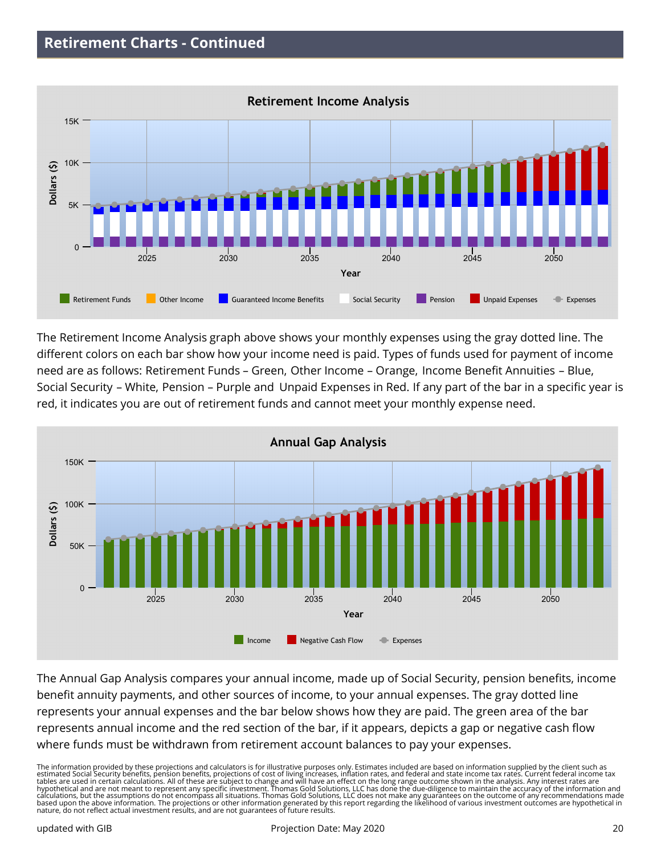

The Retirement Income Analysis graph above shows your monthly expenses using the gray dotted line. The different colors on each bar show how your income need is paid. Types of funds used for payment of income need are as follows: Retirement Funds – Green, Other Income – Orange, Income Benefit Annuities – Blue, Social Security – White, Pension – Purple and Unpaid Expenses in Red. If any part of the bar in a specific year is red, it indicates you are out of retirement funds and cannot meet your monthly expense need.



The Annual Gap Analysis compares your annual income, made up of Social Security, pension benefits, income benefit annuity payments, and other sources of income, to your annual expenses. The gray dotted line represents your annual expenses and the bar below shows how they are paid. The green area of the bar represents annual income and the red section of the bar, if it appears, depicts a gap or negative cash flow where funds must be withdrawn from retirement account balances to pay your expenses.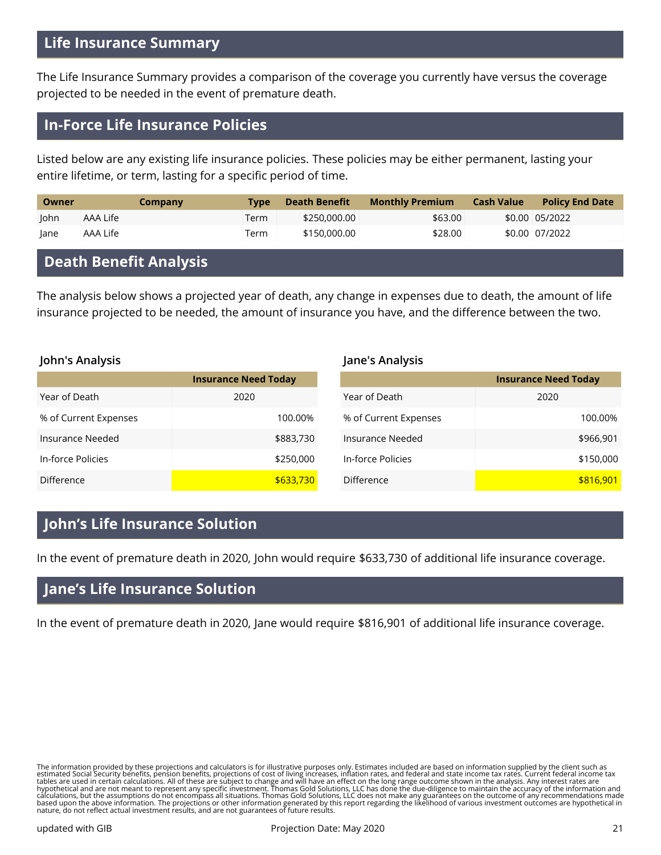## **Life Insurance Summary**

The Life Insurance Summary provides a comparison of the coverage you currently have versus the coverage projected to be needed in the event of premature death.

## **In-Force Life Insurance Policies**

Listed below are any existing life insurance policies. These policies may be either permanent, lasting your entire lifetime, or term, lasting for a specific period of time.

| Owner | Company  | <b>Type</b> | Death Benefit | Monthly Premium | <b>Cash Value</b> | <b>Policy End Date</b> |
|-------|----------|-------------|---------------|-----------------|-------------------|------------------------|
| John  | AAA Life | Term        | \$250,000.00  | \$63.00         |                   | \$0.00 05/2022         |
| lane  | AAA Life | Term        | \$150,000,00  | \$28.00         |                   | \$0.00 07/2022         |

# **Death Benefit Analysis**

The analysis below shows a projected year of death, any change in expenses due to death, the amount of life insurance projected to be needed, the amount of insurance you have, and the difference between the two.

#### **John's Analysis**

|                       | <b>Insurance Need Today</b> |
|-----------------------|-----------------------------|
| Year of Death         | 2020                        |
| % of Current Expenses | 100.00%                     |
| Insurance Needed      | \$883,730                   |
| In-force Policies     | \$250,000                   |
| Difference            | \$633,730                   |

#### **Jane's Analysis**

|                       | <b>Insurance Need Today</b> |
|-----------------------|-----------------------------|
| Year of Death         | 2020                        |
| % of Current Expenses | 100.00%                     |
| Insurance Needed      | \$966,901                   |
| In-force Policies     | \$150,000                   |
| <b>Difference</b>     | \$816,901                   |

## **John's Life Insurance Solution**

In the event of premature death in 2020, John would require \$633,730 of additional life insurance coverage.

# **Jane's Life Insurance Solution**

In the event of premature death in 2020, Jane would require \$816,901 of additional life insurance coverage.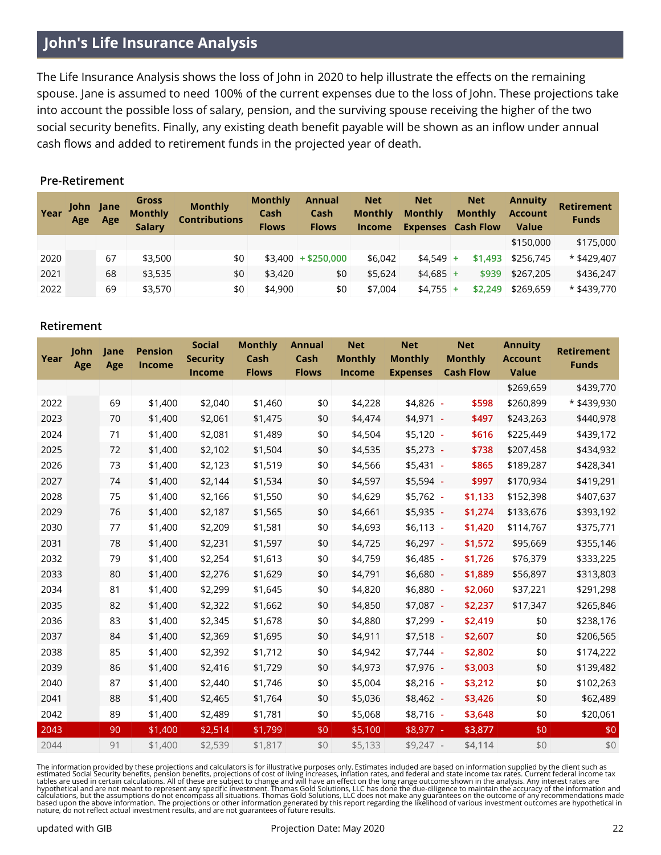# **John's Life Insurance Analysis**

The Life Insurance Analysis shows the loss of John in 2020 to help illustrate the effects on the remaining spouse. Jane is assumed to need 100% of the current expenses due to the loss of John. These projections take into account the possible loss of salary, pension, and the surviving spouse receiving the higher of the two social security benefits. Finally, any existing death benefit payable will be shown as an inflow under annual cash flows and added to retirement funds in the projected year of death.

#### **Pre-Retirement**

| Year | John Jane<br>Age | Age | Gross<br><b>Monthly</b><br><b>Salary</b> | <b>Monthly</b><br><b>Contributions</b> | <b>Monthly</b><br>Cash<br><b>Flows</b> | <b>Annual</b><br>Cash<br><b>Flows</b> | <b>Net</b><br><b>Monthly</b><br><b>Income</b> | <b>Net</b><br><b>Monthly</b><br><b>Expenses</b> Cash Flow | <b>Net</b><br><b>Monthly</b> |         | <b>Annuity</b><br><b>Account</b><br><b>Value</b> | <b>Retirement</b><br><b>Funds</b> |
|------|------------------|-----|------------------------------------------|----------------------------------------|----------------------------------------|---------------------------------------|-----------------------------------------------|-----------------------------------------------------------|------------------------------|---------|--------------------------------------------------|-----------------------------------|
|      |                  |     |                                          |                                        |                                        |                                       |                                               |                                                           |                              |         | \$150,000                                        | \$175,000                         |
| 2020 |                  | 67  | \$3,500                                  | \$0                                    |                                        | $$3,400$ + \$250,000                  | \$6,042                                       | $$4.549$ +                                                |                              | \$1,493 | \$256,745                                        | $*$ \$429,407                     |
| 2021 |                  | 68  | \$3,535                                  | \$0                                    | \$3,420                                | \$0                                   | \$5,624                                       | $$4.685$ +                                                |                              | \$939   | \$267,205                                        | \$436,247                         |
| 2022 |                  | 69  | \$3,570                                  | \$0                                    | \$4,900                                | \$0                                   | \$7,004                                       | $$4,755$ +                                                |                              | \$2,249 | \$269,659                                        | * \$439,770                       |

#### **Retirement**

| Year | John<br>Age | Jane<br>Age | <b>Pension</b><br><b>Income</b> | <b>Social</b><br><b>Security</b><br><b>Income</b> | <b>Monthly</b><br>Cash<br><b>Flows</b> | <b>Annual</b><br>Cash<br><b>Flows</b> | <b>Net</b><br><b>Monthly</b><br><b>Income</b> | <b>Net</b><br><b>Monthly</b><br><b>Expenses</b> | <b>Net</b><br><b>Monthly</b><br><b>Cash Flow</b> | <b>Annuity</b><br><b>Account</b><br><b>Value</b> | <b>Retirement</b><br><b>Funds</b> |
|------|-------------|-------------|---------------------------------|---------------------------------------------------|----------------------------------------|---------------------------------------|-----------------------------------------------|-------------------------------------------------|--------------------------------------------------|--------------------------------------------------|-----------------------------------|
|      |             |             |                                 |                                                   |                                        |                                       |                                               |                                                 |                                                  | \$269,659                                        | \$439,770                         |
| 2022 |             | 69          | \$1,400                         | \$2,040                                           | \$1,460                                | \$0                                   | \$4,228                                       | $$4,826$ -                                      | \$598                                            | \$260,899                                        | * \$439,930                       |
| 2023 |             | 70          | \$1,400                         | \$2,061                                           | \$1,475                                | \$0                                   | \$4,474                                       | \$4,971                                         | \$497                                            | \$243,263                                        | \$440,978                         |
| 2024 |             | 71          | \$1,400                         | \$2,081                                           | \$1,489                                | \$0                                   | \$4,504                                       | $$5,120$ -                                      | \$616                                            | \$225,449                                        | \$439,172                         |
| 2025 |             | 72          | \$1,400                         | \$2,102                                           | \$1,504                                | \$0                                   | \$4,535                                       | \$5,273                                         | \$738<br>÷                                       | \$207,458                                        | \$434,932                         |
| 2026 |             | 73          | \$1,400                         | \$2,123                                           | \$1,519                                | \$0                                   | \$4,566                                       | \$5,431                                         | \$865<br>ä,                                      | \$189,287                                        | \$428,341                         |
| 2027 |             | 74          | \$1,400                         | \$2,144                                           | \$1,534                                | \$0                                   | \$4,597                                       | $$5,594$ -                                      | \$997                                            | \$170,934                                        | \$419,291                         |
| 2028 |             | 75          | \$1,400                         | \$2,166                                           | \$1,550                                | \$0                                   | \$4,629                                       | $$5,762$ -                                      | \$1,133                                          | \$152,398                                        | \$407,637                         |
| 2029 |             | 76          | \$1,400                         | \$2,187                                           | \$1,565                                | \$0                                   | \$4,661                                       | $$5,935$ -                                      | \$1,274                                          | \$133,676                                        | \$393,192                         |
| 2030 |             | 77          | \$1,400                         | \$2,209                                           | \$1,581                                | \$0                                   | \$4,693                                       | $$6,113$ -                                      | \$1,420                                          | \$114,767                                        | \$375,771                         |
| 2031 |             | 78          | \$1,400                         | \$2,231                                           | \$1,597                                | \$0                                   | \$4,725                                       | $$6,297$ -                                      | \$1,572                                          | \$95,669                                         | \$355,146                         |
| 2032 |             | 79          | \$1,400                         | \$2,254                                           | \$1,613                                | \$0                                   | \$4,759                                       | \$6,485                                         | \$1,726<br>$\blacksquare$                        | \$76,379                                         | \$333,225                         |
| 2033 |             | 80          | \$1,400                         | \$2,276                                           | \$1,629                                | \$0                                   | \$4,791                                       | $$6,680$ -                                      | \$1,889                                          | \$56,897                                         | \$313,803                         |
| 2034 |             | 81          | \$1,400                         | \$2,299                                           | \$1,645                                | \$0                                   | \$4,820                                       | $$6,880$ -                                      | \$2,060                                          | \$37,221                                         | \$291,298                         |
| 2035 |             | 82          | \$1,400                         | \$2,322                                           | \$1,662                                | \$0                                   | \$4,850                                       | \$7,087                                         | \$2,237<br>$\blacksquare$                        | \$17,347                                         | \$265,846                         |
| 2036 |             | 83          | \$1,400                         | \$2,345                                           | \$1,678                                | \$0                                   | \$4,880                                       | \$7,299                                         | \$2,419<br>÷,                                    | \$0                                              | \$238,176                         |
| 2037 |             | 84          | \$1,400                         | \$2,369                                           | \$1,695                                | \$0                                   | \$4,911                                       | $$7,518$ -                                      | \$2,607                                          | \$0                                              | \$206,565                         |
| 2038 |             | 85          | \$1,400                         | \$2,392                                           | \$1,712                                | \$0                                   | \$4,942                                       | $$7,744$ -                                      | \$2,802                                          | \$0                                              | \$174,222                         |
| 2039 |             | 86          | \$1,400                         | \$2,416                                           | \$1,729                                | \$0                                   | \$4,973                                       | $$7,976$ -                                      | \$3,003                                          | \$0                                              | \$139,482                         |
| 2040 |             | 87          | \$1,400                         | \$2,440                                           | \$1,746                                | \$0                                   | \$5,004                                       | $$8,216$ -                                      | \$3,212                                          | \$0                                              | \$102,263                         |
| 2041 |             | 88          | \$1,400                         | \$2,465                                           | \$1,764                                | \$0                                   | \$5,036                                       | \$8,462                                         | \$3,426<br>÷                                     | \$0                                              | \$62,489                          |
| 2042 |             | 89          | \$1,400                         | \$2,489                                           | \$1,781                                | \$0                                   | \$5,068                                       | $$8,716$ -                                      | \$3,648                                          | \$0                                              | \$20,061                          |
| 2043 |             | 90          | \$1,400                         | \$2,514                                           | \$1,799                                | \$0                                   | \$5,100                                       | $$8,977$ -                                      | \$3,877                                          | \$0                                              | \$0                               |
| 2044 |             | 91          | \$1,400                         | \$2,539                                           | \$1,817                                | \$0                                   | \$5,133                                       | $$9,247$ -                                      | \$4,114                                          | \$0                                              | \$0                               |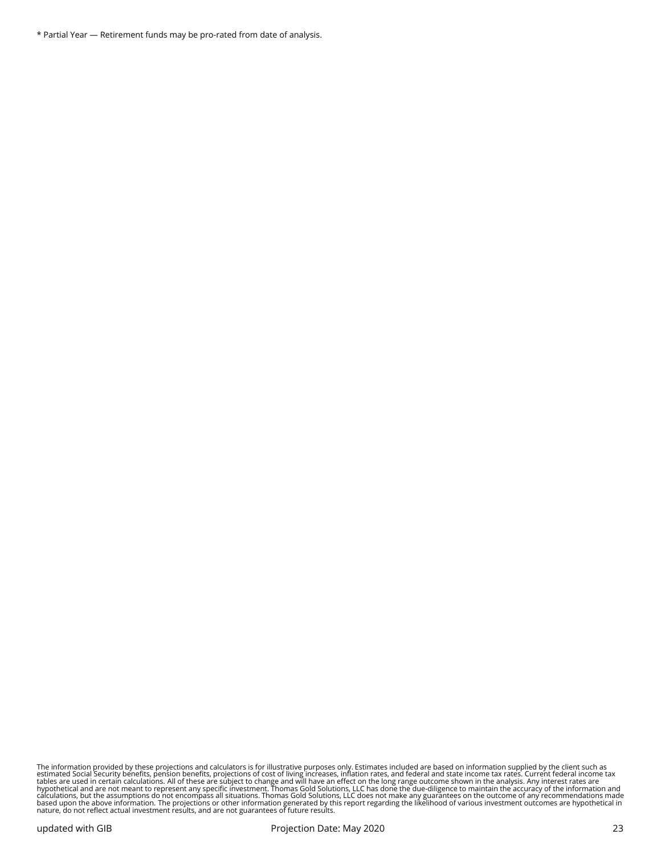\* Partial Year — Retirement funds may be pro-rated from date of analysis.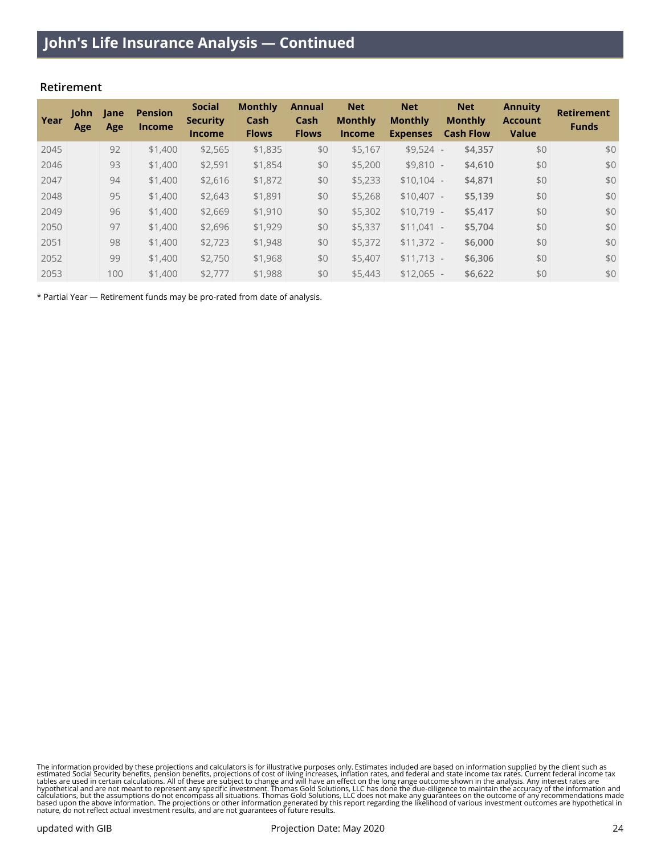#### **Retirement**

| Year | <b>John</b><br>Age | Jane<br>Age | <b>Pension</b><br><b>Income</b> | <b>Social</b><br><b>Security</b><br><b>Income</b> | <b>Monthly</b><br>Cash<br><b>Flows</b> | Annual<br>Cash<br><b>Flows</b> | <b>Net</b><br><b>Monthly</b><br><b>Income</b> | <b>Net</b><br><b>Monthly</b><br><b>Expenses</b> | <b>Net</b><br><b>Monthly</b><br><b>Cash Flow</b> | <b>Annuity</b><br><b>Account</b><br><b>Value</b> | <b>Retirement</b><br><b>Funds</b> |
|------|--------------------|-------------|---------------------------------|---------------------------------------------------|----------------------------------------|--------------------------------|-----------------------------------------------|-------------------------------------------------|--------------------------------------------------|--------------------------------------------------|-----------------------------------|
| 2045 |                    | 92          | \$1,400                         | \$2,565                                           | \$1,835                                | \$0                            | \$5,167                                       | $$9,524$ -                                      | \$4,357                                          | \$0                                              | \$0                               |
| 2046 |                    | 93          | \$1,400                         | \$2,591                                           | \$1,854                                | \$0                            | \$5,200                                       | $$9,810$ -                                      | \$4,610                                          | \$0                                              | \$0                               |
| 2047 |                    | 94          | \$1,400                         | \$2,616                                           | \$1,872                                | \$0                            | \$5,233                                       | $$10.104$ -                                     | \$4,871                                          | \$0                                              | \$0                               |
| 2048 |                    | 95          | \$1,400                         | \$2,643                                           | \$1,891                                | \$0                            | \$5,268                                       | $$10,407$ -                                     | \$5,139                                          | \$0                                              | \$0                               |
| 2049 |                    | 96          | \$1,400                         | \$2,669                                           | \$1,910                                | \$0                            | \$5,302                                       | $$10.719$ -                                     | \$5,417                                          | \$0                                              | \$0                               |
| 2050 |                    | 97          | \$1,400                         | \$2,696                                           | \$1,929                                | \$0                            | \$5,337                                       | \$11,041                                        | \$5,704<br>$\sim$                                | \$0                                              | \$0                               |
| 2051 |                    | 98          | \$1,400                         | \$2,723                                           | \$1,948                                | \$0                            | \$5,372                                       | $$11,372$ -                                     | \$6,000                                          | \$0                                              | \$0                               |
| 2052 |                    | 99          | \$1,400                         | \$2,750                                           | \$1,968                                | \$0                            | \$5,407                                       | $$11,713$ -                                     | \$6,306                                          | \$0                                              | \$0                               |
| 2053 |                    | 100         | \$1,400                         | \$2,777                                           | \$1,988                                | \$0                            | \$5,443                                       | $$12.065$ -                                     | \$6,622                                          | \$0                                              | \$0                               |

\* Partial Year — Retirement funds may be pro-rated from date of analysis.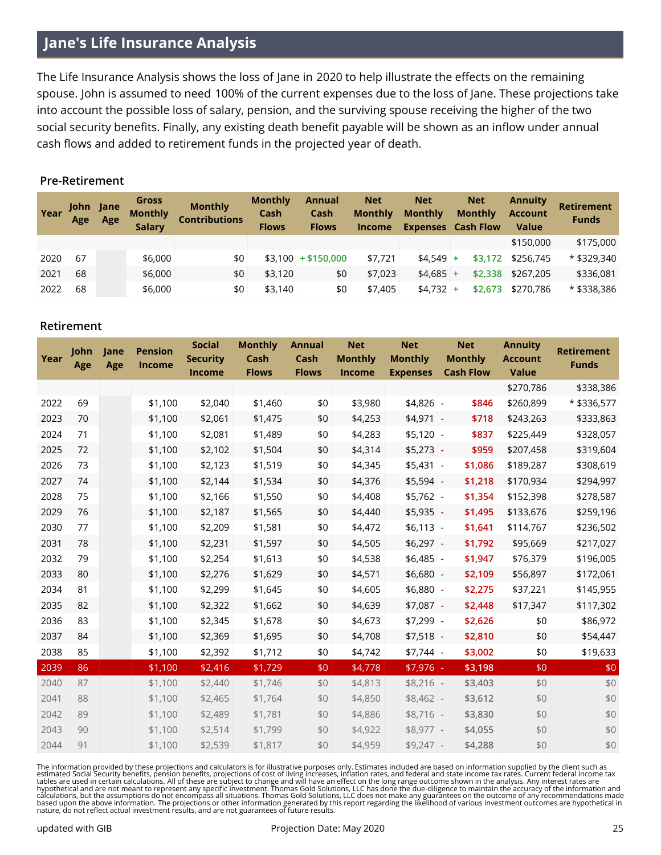# **Jane's Life Insurance Analysis**

The Life Insurance Analysis shows the loss of Jane in 2020 to help illustrate the effects on the remaining spouse. John is assumed to need 100% of the current expenses due to the loss of Jane. These projections take into account the possible loss of salary, pension, and the surviving spouse receiving the higher of the two social security benefits. Finally, any existing death benefit payable will be shown as an inflow under annual cash flows and added to retirement funds in the projected year of death.

#### **Pre-Retirement**

| Year | John Jane<br>Age | Age | Gross<br><b>Monthly</b><br><b>Salary</b> | <b>Monthly</b><br><b>Contributions</b> | <b>Monthly</b><br>Cash<br><b>Flows</b> | <b>Annual</b><br>Cash<br><b>Flows</b> | <b>Net</b><br><b>Monthly</b><br><b>Income</b> | <b>Net</b><br><b>Monthly</b><br><b>Expenses</b> Cash Flow | <b>Net</b><br><b>Monthly</b> | <b>Annuity</b><br><b>Account</b><br><b>Value</b> | <b>Retirement</b><br><b>Funds</b> |
|------|------------------|-----|------------------------------------------|----------------------------------------|----------------------------------------|---------------------------------------|-----------------------------------------------|-----------------------------------------------------------|------------------------------|--------------------------------------------------|-----------------------------------|
|      |                  |     |                                          |                                        |                                        |                                       |                                               |                                                           |                              | \$150,000                                        | \$175,000                         |
| 2020 | 67               |     | \$6,000                                  | \$0                                    |                                        | $$3,100$ + \$150,000                  | \$7.721                                       | $$4.549$ +                                                | \$3.172                      | \$256,745                                        | * \$329,340                       |
| 2021 | 68               |     | \$6,000                                  | \$0                                    | \$3,120                                | \$0                                   | \$7,023                                       | $$4.685$ +                                                | \$2,338                      | \$267,205                                        | \$336,081                         |
| 2022 | 68               |     | \$6,000                                  | \$0                                    | \$3,140                                | \$0                                   | \$7,405                                       | $$4,732$ +                                                | \$2,673                      | \$270,786                                        | * \$338,386                       |

#### **Retirement**

| Year | John<br>Age | Jane<br>Age | <b>Pension</b><br><b>Income</b> | <b>Social</b><br><b>Security</b><br><b>Income</b> | <b>Monthly</b><br>Cash<br><b>Flows</b> | <b>Annual</b><br>Cash<br><b>Flows</b> | <b>Net</b><br><b>Monthly</b><br>Income | <b>Net</b><br><b>Monthly</b><br><b>Expenses</b> | <b>Net</b><br><b>Monthly</b><br><b>Cash Flow</b> | <b>Annuity</b><br><b>Account</b><br><b>Value</b> | <b>Retirement</b><br><b>Funds</b> |
|------|-------------|-------------|---------------------------------|---------------------------------------------------|----------------------------------------|---------------------------------------|----------------------------------------|-------------------------------------------------|--------------------------------------------------|--------------------------------------------------|-----------------------------------|
|      |             |             |                                 |                                                   |                                        |                                       |                                        |                                                 |                                                  | \$270,786                                        | \$338,386                         |
| 2022 | 69          |             | \$1,100                         | \$2,040                                           | \$1,460                                | \$0                                   | \$3,980                                | \$4,826                                         | \$846<br>$\blacksquare$                          | \$260,899                                        | * \$336,577                       |
| 2023 | 70          |             | \$1,100                         | \$2,061                                           | \$1,475                                | \$0                                   | \$4,253                                | \$4,971                                         | \$718<br>$\sim$                                  | \$243,263                                        | \$333,863                         |
| 2024 | 71          |             | \$1,100                         | \$2,081                                           | \$1,489                                | \$0                                   | \$4,283                                | $$5,120$ -                                      | \$837                                            | \$225,449                                        | \$328,057                         |
| 2025 | 72          |             | \$1,100                         | \$2,102                                           | \$1,504                                | \$0                                   | \$4,314                                | $$5,273$ -                                      | \$959                                            | \$207,458                                        | \$319,604                         |
| 2026 | 73          |             | \$1,100                         | \$2,123                                           | \$1,519                                | \$0                                   | \$4,345                                | \$5,431                                         | \$1,086<br>$\mathbf{r}$                          | \$189,287                                        | \$308,619                         |
| 2027 | 74          |             | \$1,100                         | \$2,144                                           | \$1,534                                | \$0                                   | \$4,376                                | $$5,594$ -                                      | \$1,218                                          | \$170,934                                        | \$294,997                         |
| 2028 | 75          |             | \$1,100                         | \$2,166                                           | \$1,550                                | \$0                                   | \$4,408                                | $$5,762$ -                                      | \$1,354                                          | \$152,398                                        | \$278,587                         |
| 2029 | 76          |             | \$1,100                         | \$2,187                                           | \$1,565                                | \$0                                   | \$4,440                                | $$5,935$ -                                      | \$1,495                                          | \$133,676                                        | \$259,196                         |
| 2030 | 77          |             | \$1,100                         | \$2,209                                           | \$1,581                                | \$0                                   | \$4,472                                | $$6,113$ -                                      | \$1,641                                          | \$114,767                                        | \$236,502                         |
| 2031 | 78          |             | \$1,100                         | \$2,231                                           | \$1,597                                | \$0                                   | \$4,505                                | $$6,297$ -                                      | \$1,792                                          | \$95,669                                         | \$217,027                         |
| 2032 | 79          |             | \$1,100                         | \$2,254                                           | \$1,613                                | \$0                                   | \$4,538                                | $$6,485$ -                                      | \$1,947                                          | \$76,379                                         | \$196,005                         |
| 2033 | 80          |             | \$1,100                         | \$2,276                                           | \$1,629                                | \$0                                   | \$4,571                                | $$6,680$ -                                      | \$2,109                                          | \$56,897                                         | \$172,061                         |
| 2034 | 81          |             | \$1,100                         | \$2,299                                           | \$1,645                                | \$0                                   | \$4,605                                | $$6,880$ -                                      | \$2,275                                          | \$37,221                                         | \$145,955                         |
| 2035 | 82          |             | \$1,100                         | \$2,322                                           | \$1,662                                | \$0                                   | \$4,639                                | $$7,087$ -                                      | \$2,448                                          | \$17,347                                         | \$117,302                         |
| 2036 | 83          |             | \$1,100                         | \$2,345                                           | \$1,678                                | \$0                                   | \$4,673                                | $$7,299$ -                                      | \$2,626                                          | \$0                                              | \$86,972                          |
| 2037 | 84          |             | \$1,100                         | \$2,369                                           | \$1,695                                | \$0                                   | \$4,708                                | $$7,518$ -                                      | \$2,810                                          | \$0                                              | \$54,447                          |
| 2038 | 85          |             | \$1,100                         | \$2,392                                           | \$1,712                                | \$0                                   | \$4,742                                | $$7,744$ -                                      | \$3,002                                          | \$0                                              | \$19,633                          |
| 2039 | 86          |             | \$1,100                         | \$2,416                                           | \$1,729                                | \$0                                   | \$4,778                                | $$7,976$ .                                      | \$3,198                                          | \$0                                              | $$0$$                             |
| 2040 | 87          |             | \$1,100                         | \$2,440                                           | \$1,746                                | \$0                                   | \$4,813                                | $$8,216$ -                                      | \$3,403                                          | \$0                                              | \$0                               |
| 2041 | 88          |             | \$1,100                         | \$2,465                                           | \$1,764                                | \$0                                   | \$4,850                                | $$8,462$ -                                      | \$3,612                                          | \$0                                              | \$0                               |
| 2042 | 89          |             | \$1,100                         | \$2,489                                           | \$1,781                                | \$0                                   | \$4,886                                | $$8,716$ -                                      | \$3,830                                          | \$0                                              | \$0                               |
| 2043 | 90          |             | \$1,100                         | \$2,514                                           | \$1,799                                | \$0                                   | \$4,922                                | $$8,977$ -                                      | \$4,055                                          | \$0                                              | \$0                               |
| 2044 | 91          |             | \$1,100                         | \$2,539                                           | \$1,817                                | \$0                                   | \$4,959                                | $$9,247$ -                                      | \$4,288                                          | \$0                                              | \$0                               |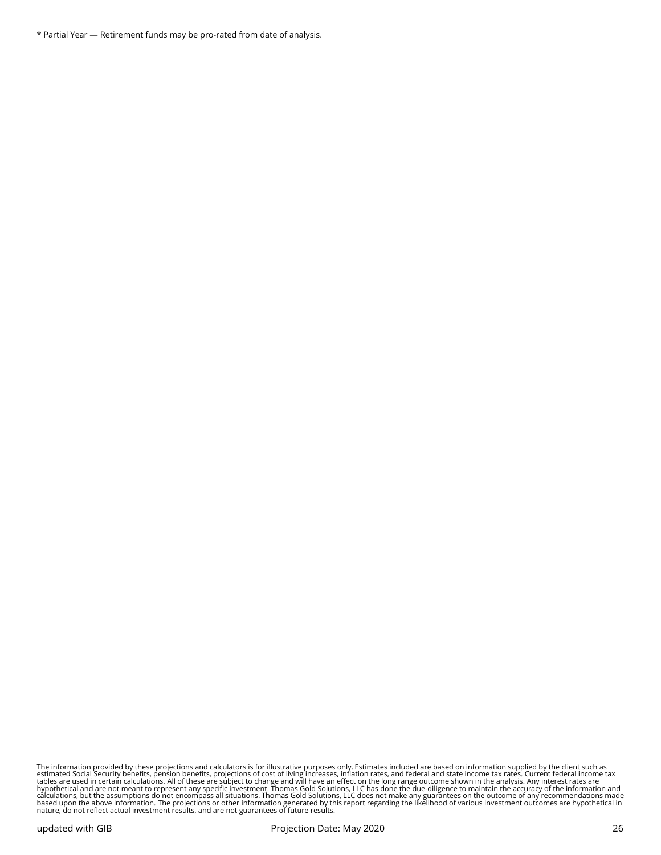\* Partial Year — Retirement funds may be pro-rated from date of analysis.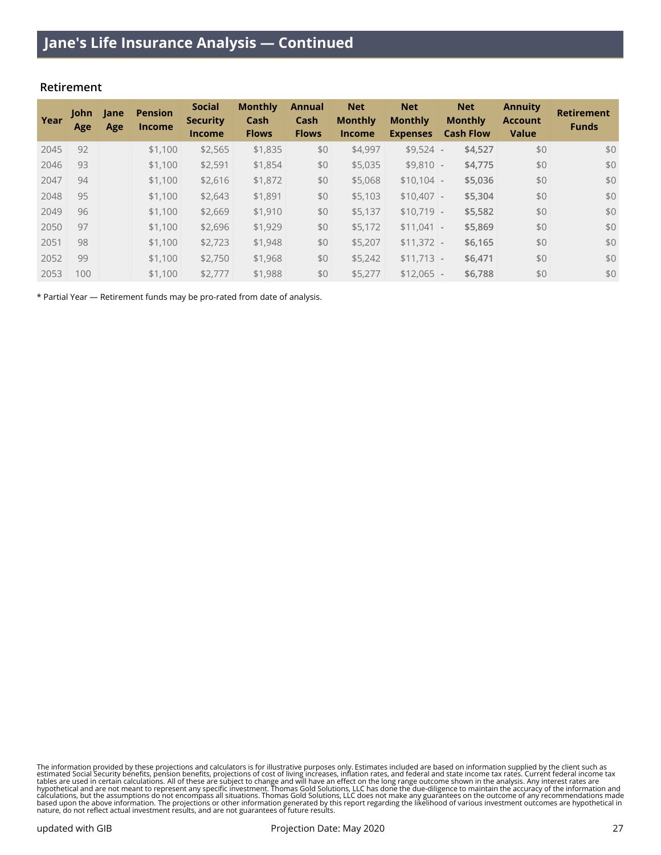#### **Retirement**

| Year | <b>John</b><br>Age | Jane<br>Age | <b>Pension</b><br><b>Income</b> | <b>Social</b><br><b>Security</b><br><b>Income</b> | <b>Monthly</b><br>Cash<br><b>Flows</b> | <b>Annual</b><br>Cash<br><b>Flows</b> | <b>Net</b><br><b>Monthly</b><br><b>Income</b> | <b>Net</b><br><b>Monthly</b><br><b>Expenses</b> | <b>Net</b><br><b>Monthly</b><br><b>Cash Flow</b> | <b>Annuity</b><br><b>Account</b><br><b>Value</b> | <b>Retirement</b><br><b>Funds</b> |
|------|--------------------|-------------|---------------------------------|---------------------------------------------------|----------------------------------------|---------------------------------------|-----------------------------------------------|-------------------------------------------------|--------------------------------------------------|--------------------------------------------------|-----------------------------------|
| 2045 | 92                 |             | \$1,100                         | \$2,565                                           | \$1,835                                | \$0                                   | \$4,997                                       | $$9.524$ -                                      | \$4,527                                          | \$0                                              | \$0                               |
| 2046 | 93                 |             | \$1,100                         | \$2,591                                           | \$1,854                                | \$0                                   | \$5,035                                       | $$9,810$ -                                      | \$4,775                                          | \$0                                              | \$0                               |
| 2047 | 94                 |             | \$1,100                         | \$2,616                                           | \$1,872                                | \$0                                   | \$5,068                                       | $$10.104$ -                                     | \$5,036                                          | \$0                                              | \$0                               |
| 2048 | 95                 |             | \$1,100                         | \$2,643                                           | \$1,891                                | \$0                                   | \$5,103                                       | $$10,407$ -                                     | \$5,304                                          | \$0                                              | \$0                               |
| 2049 | 96                 |             | \$1,100                         | \$2,669                                           | \$1,910                                | \$0                                   | \$5,137                                       | $$10.719$ -                                     | \$5,582                                          | \$0                                              | \$0                               |
| 2050 | 97                 |             | \$1,100                         | \$2,696                                           | \$1,929                                | \$0                                   | \$5,172                                       | $$11.041$ -                                     | \$5,869                                          | \$0                                              | \$0                               |
| 2051 | 98                 |             | \$1,100                         | \$2,723                                           | \$1,948                                | \$0                                   | \$5,207                                       | $$11.372$ -                                     | \$6,165                                          | \$0                                              | \$0                               |
| 2052 | 99                 |             | \$1,100                         | \$2,750                                           | \$1,968                                | \$0                                   | \$5.242                                       | $$11.713$ -                                     | \$6,471                                          | \$0                                              | \$0                               |
| 2053 | 100                |             | \$1,100                         | \$2,777                                           | \$1,988                                | \$0                                   | \$5,277                                       | $$12.065$ -                                     | \$6,788                                          | \$0                                              | \$0                               |

\* Partial Year — Retirement funds may be pro-rated from date of analysis.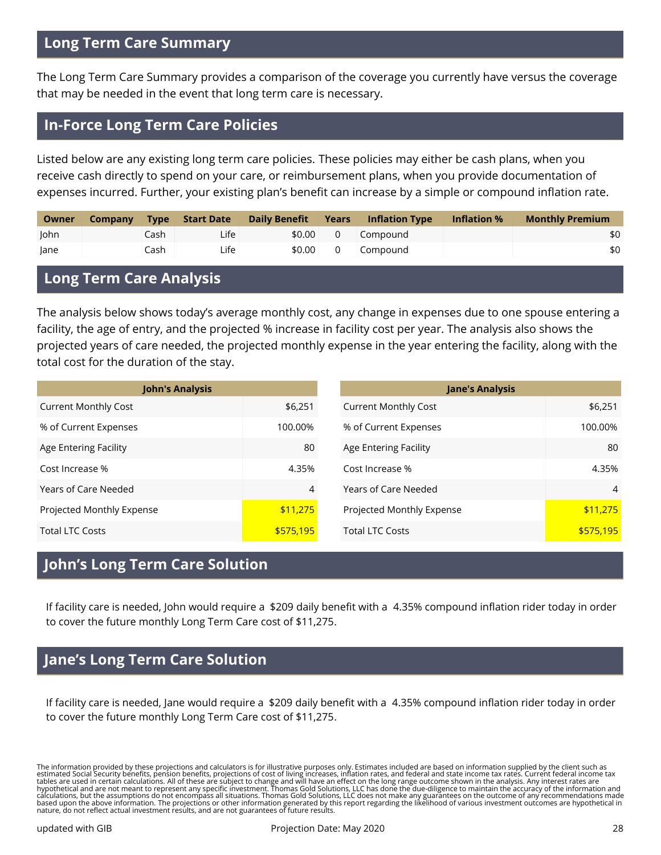# **Long Term Care Summary**

The Long Term Care Summary provides a comparison of the coverage you currently have versus the coverage that may be needed in the event that long term care is necessary.

## **In-Force Long Term Care Policies**

Listed below are any existing long term care policies. These policies may either be cash plans, when you receive cash directly to spend on your care, or reimbursement plans, when you provide documentation of expenses incurred. Further, your existing plan's benefit can increase by a simple or compound inflation rate.

| Owner | <b>Company</b> | <b>Type</b> | Start Date | Daily Benefit | Years          | <b>Inflation Type</b> | Inflation % | <b>Monthly Premium</b> |
|-------|----------------|-------------|------------|---------------|----------------|-----------------------|-------------|------------------------|
| John  |                | Cash        | Life       | \$0.00        | $\overline{0}$ | Compound              |             | \$0                    |
| lane  |                | Cash        | Life       | \$0.00        | $\mathbf 0$    | Compound              |             | \$0                    |

## **Long Term Care Analysis**

The analysis below shows today's average monthly cost, any change in expenses due to one spouse entering a facility, the age of entry, and the projected % increase in facility cost per year. The analysis also shows the projected years of care needed, the projected monthly expense in the year entering the facility, along with the total cost for the duration of the stay.

| <b>John's Analysis</b>      |           |
|-----------------------------|-----------|
| <b>Current Monthly Cost</b> | \$6,251   |
| % of Current Expenses       | 100.00%   |
| Age Entering Facility       | 80        |
| Cost Increase %             | 4.35%     |
| Years of Care Needed        | 4         |
| Projected Monthly Expense   | \$11,275  |
| Total LTC Costs             | \$575,195 |

| <b>Jane's Analysis</b>      |           |
|-----------------------------|-----------|
| <b>Current Monthly Cost</b> | \$6,251   |
| % of Current Expenses       | 100.00%   |
| Age Entering Facility       | 80        |
| Cost Increase %             | 4.35%     |
| Years of Care Needed        | 4         |
| Projected Monthly Expense   | \$11,275  |
| <b>Total LTC Costs</b>      | \$575,195 |

# **John's Long Term Care Solution**

If facility care is needed, John would require a \$209 daily benefit with a 4.35% compound inflation rider today in order to cover the future monthly Long Term Care cost of \$11,275.

# **Jane's Long Term Care Solution**

If facility care is needed, Jane would require a \$209 daily benefit with a 4.35% compound inflation rider today in order to cover the future monthly Long Term Care cost of \$11,275.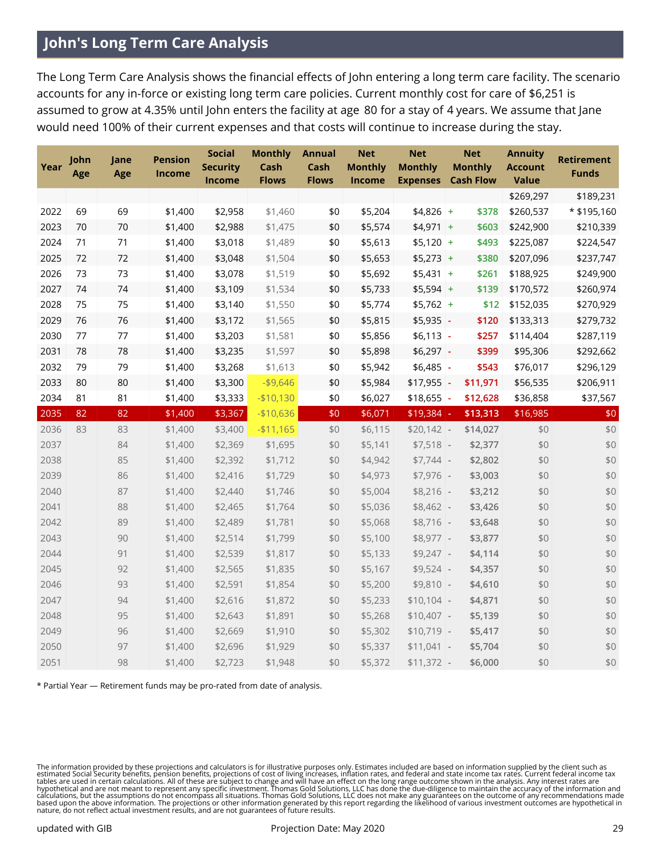# **John's Long Term Care Analysis**

The Long Term Care Analysis shows the financial effects of John entering a long term care facility. The scenario accounts for any in-force or existing long term care policies. Current monthly cost for care of \$6,251 is assumed to grow at 4.35% until John enters the facility at age 80 for a stay of 4 years. We assume that Jane would need 100% of their current expenses and that costs will continue to increase during the stay.

| Year | John<br>Age | Jane<br>Age | <b>Pension</b><br>Income | <b>Social</b><br><b>Security</b><br>Income | <b>Monthly</b><br>Cash<br><b>Flows</b> | <b>Annual</b><br>Cash<br><b>Flows</b> | <b>Net</b><br><b>Monthly</b><br>Income | <b>Net</b><br><b>Monthly</b><br><b>Expenses</b> |                | <b>Net</b><br><b>Monthly</b><br><b>Cash Flow</b> | <b>Annuity</b><br><b>Account</b><br><b>Value</b> | <b>Retirement</b><br><b>Funds</b> |
|------|-------------|-------------|--------------------------|--------------------------------------------|----------------------------------------|---------------------------------------|----------------------------------------|-------------------------------------------------|----------------|--------------------------------------------------|--------------------------------------------------|-----------------------------------|
|      |             |             |                          |                                            |                                        |                                       |                                        |                                                 |                |                                                  | \$269,297                                        | \$189,231                         |
| 2022 | 69          | 69          | \$1,400                  | \$2,958                                    | \$1,460                                | \$0                                   | \$5,204                                | $$4,826$ +                                      |                | \$378                                            | \$260,537                                        | * \$195,160                       |
| 2023 | 70          | 70          | \$1,400                  | \$2,988                                    | \$1,475                                | \$0                                   | \$5,574                                | $$4,971$ +                                      |                | \$603                                            | \$242,900                                        | \$210,339                         |
| 2024 | 71          | 71          | \$1,400                  | \$3,018                                    | \$1,489                                | \$0                                   | \$5,613                                | $$5,120$ +                                      |                | \$493                                            | \$225,087                                        | \$224,547                         |
| 2025 | 72          | 72          | \$1,400                  | \$3,048                                    | \$1,504                                | \$0                                   | \$5,653                                | $$5,273$ +                                      |                | \$380                                            | \$207,096                                        | \$237,747                         |
| 2026 | 73          | 73          | \$1,400                  | \$3,078                                    | \$1,519                                | \$0                                   | \$5,692                                | $$5,431$ +                                      |                | \$261                                            | \$188,925                                        | \$249,900                         |
| 2027 | 74          | 74          | \$1,400                  | \$3,109                                    | \$1,534                                | \$0                                   | \$5,733                                | $$5,594$ +                                      |                | \$139                                            | \$170,572                                        | \$260,974                         |
| 2028 | 75          | 75          | \$1,400                  | \$3,140                                    | \$1,550                                | \$0                                   | \$5,774                                | $$5,762$ +                                      |                | \$12                                             | \$152,035                                        | \$270,929                         |
| 2029 | 76          | 76          | \$1,400                  | \$3,172                                    | \$1,565                                | \$0                                   | \$5,815                                | \$5,935                                         | $\blacksquare$ | \$120                                            | \$133,313                                        | \$279,732                         |
| 2030 | 77          | 77          | \$1,400                  | \$3,203                                    | \$1,581                                | \$0                                   | \$5,856                                | \$6,113                                         | $\Box$         | \$257                                            | \$114,404                                        | \$287,119                         |
| 2031 | 78          | 78          | \$1,400                  | \$3,235                                    | \$1,597                                | \$0                                   | \$5,898                                | \$6,297                                         | $\mathbb{Z}$   | \$399                                            | \$95,306                                         | \$292,662                         |
| 2032 | 79          | 79          | \$1,400                  | \$3,268                                    | \$1,613                                | \$0                                   | \$5,942                                | \$6,485                                         | ÷,             | \$543                                            | \$76,017                                         | \$296,129                         |
| 2033 | 80          | 80          | \$1,400                  | \$3,300                                    | $-$9,646$                              | \$0                                   | \$5,984                                | $$17,955$ -                                     |                | \$11,971                                         | \$56,535                                         | \$206,911                         |
| 2034 | 81          | 81          | \$1,400                  | \$3,333                                    | $- $10,130$                            | \$0                                   | \$6,027                                | \$18,655                                        | $\blacksquare$ | \$12,628                                         | \$36,858                                         | \$37,567                          |
| 2035 | 82          | 82          | \$1,400                  | \$3,367                                    | $-$10,636$                             | \$0                                   | \$6,071                                | \$19,384                                        |                | \$13,313                                         | \$16,985                                         | \$0                               |
| 2036 | 83          | 83          | \$1,400                  | \$3,400                                    | $-$11,165$                             | \$0                                   | \$6,115                                | $$20,142$ -                                     |                | \$14,027                                         | \$0                                              | \$0                               |
| 2037 |             | 84          | \$1,400                  | \$2,369                                    | \$1,695                                | \$0                                   | \$5,141                                | $$7,518$ -                                      |                | \$2,377                                          | \$0                                              | \$0                               |
| 2038 |             | 85          | \$1,400                  | \$2,392                                    | \$1,712                                | \$0                                   | \$4,942                                | $$7,744$ -                                      |                | \$2,802                                          | \$0                                              | \$0                               |
| 2039 |             | 86          | \$1,400                  | \$2,416                                    | \$1,729                                | \$0                                   | \$4,973                                | $$7,976$ -                                      |                | \$3,003                                          | \$0                                              | \$0                               |
| 2040 |             | 87          | \$1,400                  | \$2,440                                    | \$1,746                                | \$0                                   | \$5,004                                | $$8,216$ -                                      |                | \$3,212                                          | \$0                                              | $$0$$                             |
| 2041 |             | 88          | \$1,400                  | \$2,465                                    | \$1,764                                | \$0                                   | \$5,036                                | $$8,462$ -                                      |                | \$3,426                                          | \$0                                              | \$0                               |
| 2042 |             | 89          | \$1,400                  | \$2,489                                    | \$1,781                                | \$0                                   | \$5,068                                | $$8,716$ -                                      |                | \$3,648                                          | \$0                                              | \$0                               |
| 2043 |             | 90          | \$1,400                  | \$2,514                                    | \$1,799                                | \$0                                   | \$5,100                                | $$8,977$ -                                      |                | \$3,877                                          | \$0                                              | \$0                               |
| 2044 |             | 91          | \$1,400                  | \$2,539                                    | \$1,817                                | \$0                                   | \$5,133                                | $$9,247$ -                                      |                | \$4,114                                          | \$0                                              | \$0                               |
| 2045 |             | 92          | \$1,400                  | \$2,565                                    | \$1,835                                | \$0                                   | \$5,167                                | $$9,524$ -                                      |                | \$4,357                                          | \$0                                              | \$0                               |
| 2046 |             | 93          | \$1,400                  | \$2,591                                    | \$1,854                                | \$0                                   | \$5,200                                | $$9,810$ -                                      |                | \$4,610                                          | \$0                                              | \$0                               |
| 2047 |             | 94          | \$1,400                  | \$2,616                                    | \$1,872                                | \$0                                   | \$5,233                                | $$10,104$ -                                     |                | \$4,871                                          | \$0                                              | \$0                               |
| 2048 |             | 95          | \$1,400                  | \$2,643                                    | \$1,891                                | \$0                                   | \$5,268                                | $$10,407$ -                                     |                | \$5,139                                          | \$0                                              | $$0$$                             |
| 2049 |             | 96          | \$1,400                  | \$2,669                                    | \$1,910                                | \$0                                   | \$5,302                                | $$10,719$ -                                     |                | \$5,417                                          | \$0                                              | \$0                               |
| 2050 |             | 97          | \$1,400                  | \$2,696                                    | \$1,929                                | \$0                                   | \$5,337                                | $$11,041$ -                                     |                | \$5,704                                          | \$0                                              | \$0                               |
| 2051 |             | 98          | \$1,400                  | \$2,723                                    | \$1,948                                | \$0                                   | \$5,372                                | $$11,372$ -                                     |                | \$6,000                                          | \$0                                              | \$0                               |

\* Partial Year — Retirement funds may be pro-rated from date of analysis.

The information provided by these projections and calculators is for illustrative purposes only. Estimates included are based on information supplied by the client such as<br>estimated Social Security benefits, pension benefi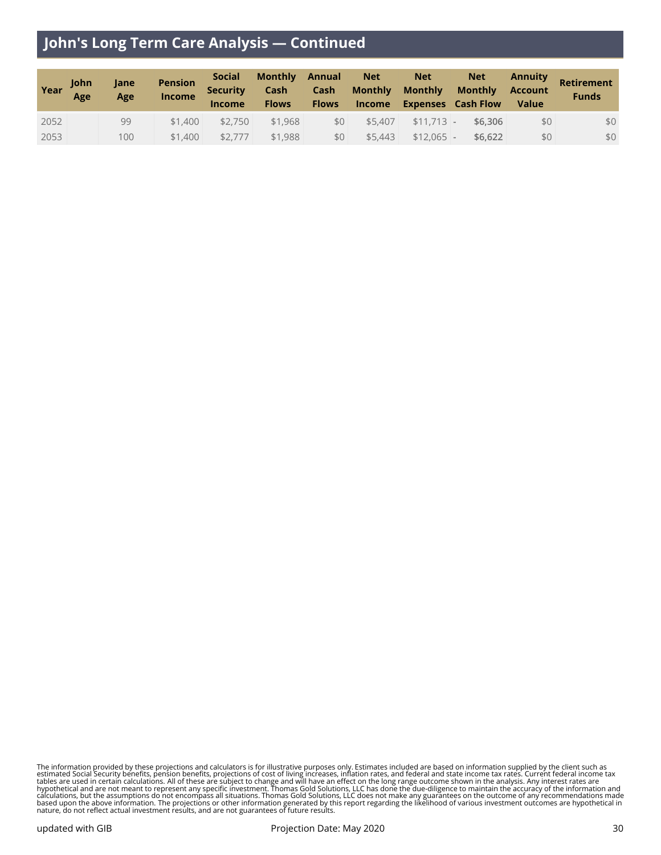# **John's Long Term Care Analysis — Continued**

| Year | <b>Iohn</b><br>Age | Jane<br>Age | <b>Pension</b><br><b>Income</b> | <b>Social</b><br><b>Security</b><br><b>Income</b> | <b>Monthly</b><br>Cash<br><b>Flows</b> | Annual<br><b>Cash</b><br><b>Flows</b> | <b>Net</b><br><b>Monthly</b> | <b>Net</b><br><b>Monthly</b> | <b>Net</b><br><b>Monthly</b><br>Income Expenses Cash Flow | <b>Annuity</b><br><b>Account</b><br><b>Value</b> | Retirement<br><b>Funds</b> |
|------|--------------------|-------------|---------------------------------|---------------------------------------------------|----------------------------------------|---------------------------------------|------------------------------|------------------------------|-----------------------------------------------------------|--------------------------------------------------|----------------------------|
| 2052 |                    | 99          | \$1,400                         | \$2.750                                           | \$1,968                                | \$0 <sub>1</sub>                      | \$5,407                      | $$11,713$ -                  | \$6,306                                                   | \$0                                              | \$0                        |
| 2053 |                    | 100         | \$1,400                         | \$2,777                                           | \$1,988                                | \$0                                   | \$5,443                      | $$12.065$ -                  | \$6,622                                                   | \$0                                              | \$0                        |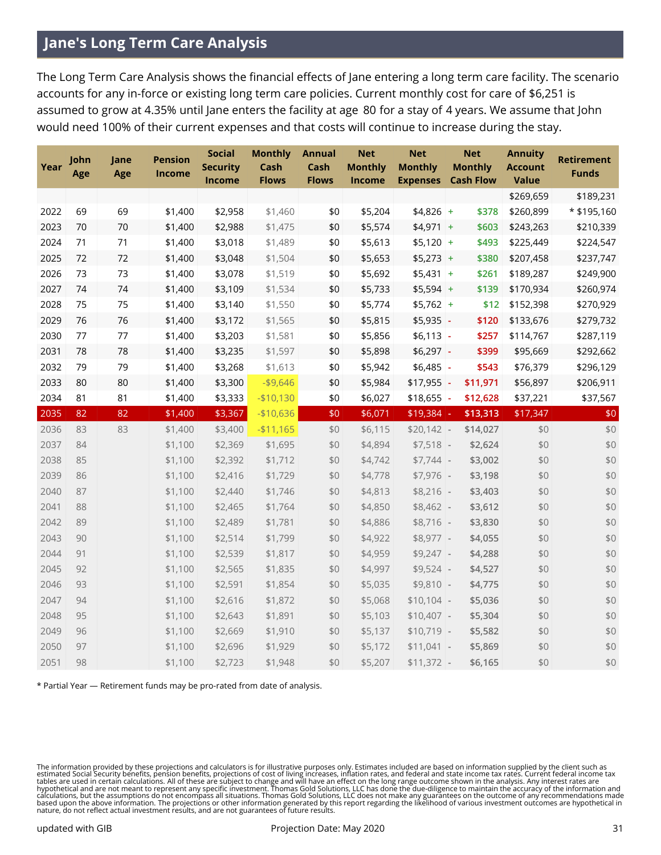# **Jane's Long Term Care Analysis**

The Long Term Care Analysis shows the financial effects of Jane entering a long term care facility. The scenario accounts for any in-force or existing long term care policies. Current monthly cost for care of \$6,251 is assumed to grow at 4.35% until Jane enters the facility at age 80 for a stay of 4 years. We assume that John would need 100% of their current expenses and that costs will continue to increase during the stay.

| Year | John<br>Age | Jane<br>Age | <b>Pension</b><br>Income | <b>Social</b><br><b>Security</b><br>Income | <b>Monthly</b><br>Cash<br><b>Flows</b> | <b>Annual</b><br>Cash<br><b>Flows</b> | <b>Net</b><br><b>Monthly</b><br>Income | <b>Net</b><br><b>Monthly</b><br><b>Expenses</b> |                | <b>Net</b><br><b>Monthly</b><br><b>Cash Flow</b> | <b>Annuity</b><br><b>Account</b><br><b>Value</b> | <b>Retirement</b><br><b>Funds</b> |
|------|-------------|-------------|--------------------------|--------------------------------------------|----------------------------------------|---------------------------------------|----------------------------------------|-------------------------------------------------|----------------|--------------------------------------------------|--------------------------------------------------|-----------------------------------|
|      |             |             |                          |                                            |                                        |                                       |                                        |                                                 |                |                                                  | \$269,659                                        | \$189,231                         |
| 2022 | 69          | 69          | \$1,400                  | \$2,958                                    | \$1,460                                | \$0                                   | \$5,204                                | $$4,826$ +                                      |                | \$378                                            | \$260,899                                        | * \$195,160                       |
| 2023 | 70          | 70          | \$1,400                  | \$2,988                                    | \$1,475                                | \$0                                   | \$5,574                                | $$4,971$ +                                      |                | \$603                                            | \$243,263                                        | \$210,339                         |
| 2024 | 71          | 71          | \$1,400                  | \$3,018                                    | \$1,489                                | \$0                                   | \$5,613                                | $$5,120$ +                                      |                | \$493                                            | \$225,449                                        | \$224,547                         |
| 2025 | 72          | 72          | \$1,400                  | \$3,048                                    | \$1,504                                | \$0                                   | \$5,653                                | $$5,273$ +                                      |                | \$380                                            | \$207,458                                        | \$237,747                         |
| 2026 | 73          | 73          | \$1,400                  | \$3,078                                    | \$1,519                                | \$0                                   | \$5,692                                | $$5,431$ +                                      |                | \$261                                            | \$189,287                                        | \$249,900                         |
| 2027 | 74          | 74          | \$1,400                  | \$3,109                                    | \$1,534                                | \$0                                   | \$5,733                                | $$5,594$ +                                      |                | \$139                                            | \$170,934                                        | \$260,974                         |
| 2028 | 75          | 75          | \$1,400                  | \$3,140                                    | \$1,550                                | \$0                                   | \$5,774                                | $$5,762$ +                                      |                | \$12                                             | \$152,398                                        | \$270,929                         |
| 2029 | 76          | 76          | \$1,400                  | \$3,172                                    | \$1,565                                | \$0                                   | \$5,815                                | \$5,935                                         | $\blacksquare$ | \$120                                            | \$133,676                                        | \$279,732                         |
| 2030 | 77          | 77          | \$1,400                  | \$3,203                                    | \$1,581                                | \$0                                   | \$5,856                                | $$6,113$ -                                      |                | \$257                                            | \$114,767                                        | \$287,119                         |
| 2031 | 78          | 78          | \$1,400                  | \$3,235                                    | \$1,597                                | \$0                                   | \$5,898                                | $$6,297$ -                                      |                | \$399                                            | \$95,669                                         | \$292,662                         |
| 2032 | 79          | 79          | \$1,400                  | \$3,268                                    | \$1,613                                | \$0                                   | \$5,942                                | $$6,485$ -                                      |                | \$543                                            | \$76,379                                         | \$296,129                         |
| 2033 | 80          | 80          | \$1,400                  | \$3,300                                    | $-$9,646$                              | \$0                                   | \$5,984                                | \$17,955                                        |                | \$11,971                                         | \$56,897                                         | \$206,911                         |
| 2034 | 81          | 81          | \$1,400                  | \$3,333                                    | $- $10,130$                            | \$0                                   | \$6,027                                | \$18,655                                        | $\blacksquare$ | \$12,628                                         | \$37,221                                         | \$37,567                          |
| 2035 | 82          | 82          | \$1,400                  | \$3,367                                    | $-$10,636$                             | $$0$$                                 | \$6,071                                | \$19,384                                        |                | \$13,313                                         | \$17,347                                         | $$0$$                             |
| 2036 | 83          | 83          | \$1,400                  | \$3,400                                    | $-$11,165$                             | \$0                                   | \$6,115                                | $$20,142$ -                                     |                | \$14,027                                         | \$0                                              | \$0                               |
| 2037 | 84          |             | \$1,100                  | \$2,369                                    | \$1,695                                | \$0                                   | \$4,894                                | $$7,518$ -                                      |                | \$2,624                                          | \$0                                              | \$0                               |
| 2038 | 85          |             | \$1,100                  | \$2,392                                    | \$1,712                                | \$0                                   | \$4,742                                | $$7,744$ -                                      |                | \$3,002                                          | \$0                                              | $$0$$                             |
| 2039 | 86          |             | \$1,100                  | \$2,416                                    | \$1,729                                | \$0                                   | \$4,778                                | $$7,976$ -                                      |                | \$3,198                                          | \$0                                              | $$0$$                             |
| 2040 | 87          |             | \$1,100                  | \$2,440                                    | \$1,746                                | \$0                                   | \$4,813                                | $$8,216$ -                                      |                | \$3,403                                          | \$0                                              | \$0                               |
| 2041 | 88          |             | \$1,100                  | \$2,465                                    | \$1,764                                | \$0                                   | \$4,850                                | $$8,462$ -                                      |                | \$3,612                                          | \$0                                              | \$0                               |
| 2042 | 89          |             | \$1,100                  | \$2,489                                    | \$1,781                                | \$0                                   | \$4,886                                | $$8,716$ -                                      |                | \$3,830                                          | \$0                                              | \$0                               |
| 2043 | 90          |             | \$1,100                  | \$2,514                                    | \$1,799                                | \$0                                   | \$4,922                                | $$8,977$ -                                      |                | \$4,055                                          | \$0                                              | $$0$$                             |
| 2044 | 91          |             | \$1,100                  | \$2,539                                    | \$1,817                                | \$0                                   | \$4,959                                | $$9,247$ -                                      |                | \$4,288                                          | \$0                                              | \$0                               |
| 2045 | 92          |             | \$1,100                  | \$2,565                                    | \$1,835                                | \$0                                   | \$4,997                                | $$9,524$ -                                      |                | \$4,527                                          | \$0                                              | \$0                               |
| 2046 | 93          |             | \$1,100                  | \$2,591                                    | \$1,854                                | \$0                                   | \$5,035                                | $$9,810$ -                                      |                | \$4,775                                          | \$0                                              | \$0                               |
| 2047 | 94          |             | \$1,100                  | \$2,616                                    | \$1,872                                | \$0                                   | \$5,068                                | $$10,104$ -                                     |                | \$5,036                                          | \$0                                              | $$0$$                             |
| 2048 | 95          |             | \$1,100                  | \$2,643                                    | \$1,891                                | \$0                                   | \$5,103                                | $$10,407$ -                                     |                | \$5,304                                          | \$0                                              | \$0                               |
| 2049 | 96          |             | \$1,100                  | \$2,669                                    | \$1,910                                | \$0                                   | \$5,137                                | $$10,719$ -                                     |                | \$5,582                                          | \$0                                              | \$0                               |
|      |             |             |                          |                                            |                                        |                                       |                                        |                                                 |                |                                                  |                                                  |                                   |
| 2050 | 97          |             | \$1,100                  | \$2,696                                    | \$1,929                                | \$0                                   | \$5,172                                | $$11,041$ -                                     |                | \$5,869                                          | \$0                                              | \$0                               |

\* Partial Year — Retirement funds may be pro-rated from date of analysis.

The information provided by these projections and calculators is for illustrative purposes only. Estimates included are based on information supplied by the client such as<br>estimated Social Security benefits, pension benefi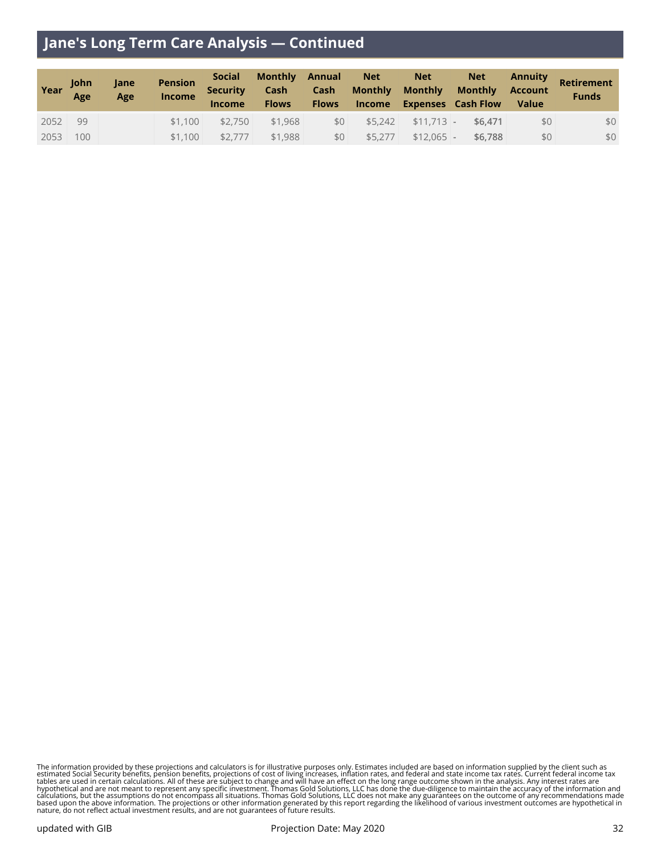# **Jane's Long Term Care Analysis — Continued**

| Year | <b>Iohn</b><br>Age | Jane<br>Age | <b>Pension</b><br><b>Income</b> | <b>Social</b><br><b>Security</b><br><b>Income</b> | Monthly Annual<br><b>Flows</b> |     | $\blacksquare$ Net<br><b>Cash</b> Cash Monthly Monthly | <b>Net</b>  | <b>Net</b><br><b>Monthly Account</b><br>Flows Income Expenses Cash Flow | <b>Value</b> | <b>Annuity Retirement</b><br><b>Funds</b> |
|------|--------------------|-------------|---------------------------------|---------------------------------------------------|--------------------------------|-----|--------------------------------------------------------|-------------|-------------------------------------------------------------------------|--------------|-------------------------------------------|
| 2052 | 99                 |             | \$1.100                         | \$2,750                                           | \$1,968                        | \$0 |                                                        |             | $$5,242$ $$11,713$ - \$6,471                                            | \$0          | \$0                                       |
| 2053 | 100                |             | \$1,100                         | \$2,777                                           | \$1,988                        | \$0 | \$5,277                                                | $$12,065$ - | \$6,788                                                                 | \$0          | \$0                                       |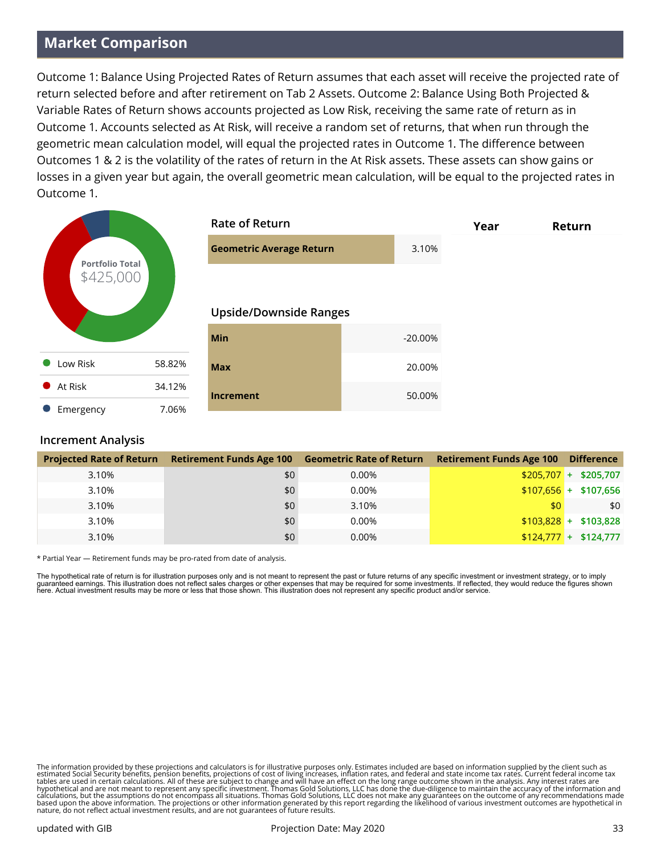# **Market Comparison**

Outcome 1: Balance Using Projected Rates of Return assumes that each asset will receive the projected rate of return selected before and after retirement on Tab 2 Assets. Outcome 2: Balance Using Both Projected & Variable Rates of Return shows accounts projected as Low Risk, receiving the same rate of return as in Outcome 1. Accounts selected as At Risk, will receive a random set of returns, that when run through the geometric mean calculation model, will equal the projected rates in Outcome 1. The difference between Outcomes 1 & 2 is the volatility of the rates of return in the At Risk assets. These assets can show gains or losses in a given year but again, the overall geometric mean calculation, will be equal to the projected rates in Outcome 1.

|                                     |        | <b>Rate of Return</b>           |           | Year | Return |
|-------------------------------------|--------|---------------------------------|-----------|------|--------|
|                                     |        | <b>Geometric Average Return</b> | 3.10%     |      |        |
| <b>Portfolio Total</b><br>\$425,000 |        | <b>Upside/Downside Ranges</b>   |           |      |        |
|                                     |        | Min                             | $-20.00%$ |      |        |
| Low Risk                            | 58.82% | <b>Max</b>                      | 20.00%    |      |        |
| At Risk<br>$\bullet$                | 34.12% | <b>Increment</b>                | 50.00%    |      |        |
| Emergency                           | 7.06%  |                                 |           |      |        |

#### **Increment Analysis**

| <b>Projected Rate of Return</b> | <b>Retirement Funds Age 100</b> | <b>Geometric Rate of Return</b> | <b>Retirement Funds Age 100</b> | <b>Difference</b>      |
|---------------------------------|---------------------------------|---------------------------------|---------------------------------|------------------------|
| 3.10%                           | \$0                             | 0.00%                           |                                 | $$205,707 + $205,707$  |
| 3.10%                           | \$0                             | 0.00%                           |                                 | $$107,656$ + \$107,656 |
| 3.10%                           | \$0                             | 3.10%                           | \$0 <sub>1</sub>                | \$0                    |
| 3.10%                           | \$0                             | 0.00%                           |                                 | $$103.828 + $103.828$  |
| 3.10%                           | \$0                             | 0.00%                           |                                 | $$124,777$ + \$124,777 |

\* Partial Year — Retirement funds may be pro-rated from date of analysis.

The hypothetical rate of return is for illustration purposes only and is not meant to represent the past or future returns of any specific investment or investment strategy, or to imply guaranteed earnings. This illustration does not reflect sales charges or other expenses that may be required for some investments. If reflected, they would reduce the figures shown<br>here. Actual investment results may be mo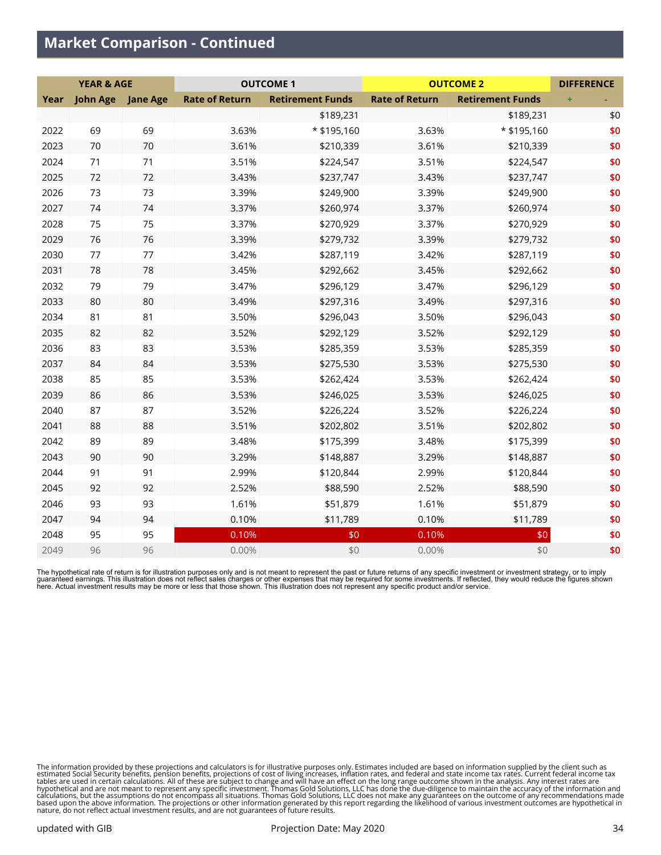## **Market Comparison - Continued**

|      | <b>YEAR &amp; AGE</b> |                 |                       | <b>OUTCOME 1</b>        |                       | <b>OUTCOME 2</b>        | <b>DIFFERENCE</b> |
|------|-----------------------|-----------------|-----------------------|-------------------------|-----------------------|-------------------------|-------------------|
| Year | <b>John Age</b>       | <b>Jane Age</b> | <b>Rate of Return</b> | <b>Retirement Funds</b> | <b>Rate of Return</b> | <b>Retirement Funds</b> |                   |
|      |                       |                 |                       | \$189,231               |                       | \$189,231               | \$0               |
| 2022 | 69                    | 69              | 3.63%                 | * \$195,160             | 3.63%                 | * \$195,160             | \$0               |
| 2023 | 70                    | 70              | 3.61%                 | \$210,339               | 3.61%                 | \$210,339               | \$0               |
| 2024 | 71                    | 71              | 3.51%                 | \$224,547               | 3.51%                 | \$224,547               | \$0               |
| 2025 | 72                    | 72              | 3.43%                 | \$237,747               | 3.43%                 | \$237,747               | \$0               |
| 2026 | 73                    | 73              | 3.39%                 | \$249,900               | 3.39%                 | \$249,900               | \$0               |
| 2027 | 74                    | 74              | 3.37%                 | \$260,974               | 3.37%                 | \$260,974               | \$0               |
| 2028 | 75                    | 75              | 3.37%                 | \$270,929               | 3.37%                 | \$270,929               | \$0               |
| 2029 | 76                    | 76              | 3.39%                 | \$279,732               | 3.39%                 | \$279,732               | \$0               |
| 2030 | 77                    | 77              | 3.42%                 | \$287,119               | 3.42%                 | \$287,119               | \$0               |
| 2031 | 78                    | 78              | 3.45%                 | \$292,662               | 3.45%                 | \$292,662               | \$0               |
| 2032 | 79                    | 79              | 3.47%                 | \$296,129               | 3.47%                 | \$296,129               | \$0               |
| 2033 | 80                    | 80              | 3.49%                 | \$297,316               | 3.49%                 | \$297,316               | \$0               |
| 2034 | 81                    | 81              | 3.50%                 | \$296,043               | 3.50%                 | \$296,043               | \$0               |
| 2035 | 82                    | 82              | 3.52%                 | \$292,129               | 3.52%                 | \$292,129               | \$0               |
| 2036 | 83                    | 83              | 3.53%                 | \$285,359               | 3.53%                 | \$285,359               | \$0               |
| 2037 | 84                    | 84              | 3.53%                 | \$275,530               | 3.53%                 | \$275,530               | \$0               |
| 2038 | 85                    | 85              | 3.53%                 | \$262,424               | 3.53%                 | \$262,424               | \$0               |
| 2039 | 86                    | 86              | 3.53%                 | \$246,025               | 3.53%                 | \$246,025               | \$0               |
| 2040 | 87                    | 87              | 3.52%                 | \$226,224               | 3.52%                 | \$226,224               | \$0               |
| 2041 | 88                    | 88              | 3.51%                 | \$202,802               | 3.51%                 | \$202,802               | \$0               |
| 2042 | 89                    | 89              | 3.48%                 | \$175,399               | 3.48%                 | \$175,399               | \$0               |
| 2043 | 90                    | 90              | 3.29%                 | \$148,887               | 3.29%                 | \$148,887               | \$0               |
| 2044 | 91                    | 91              | 2.99%                 | \$120,844               | 2.99%                 | \$120,844               | \$0               |
| 2045 | 92                    | 92              | 2.52%                 | \$88,590                | 2.52%                 | \$88,590                | \$0               |
| 2046 | 93                    | 93              | 1.61%                 | \$51,879                | 1.61%                 | \$51,879                | \$0               |
| 2047 | 94                    | 94              | 0.10%                 | \$11,789                | 0.10%                 | \$11,789                | \$0               |
| 2048 | 95                    | 95              | 0.10%                 | \$0                     | 0.10%                 | \$0                     | \$0               |
| 2049 | 96                    | 96              | 0.00%                 | \$0                     | 0.00%                 | \$0                     | \$0               |

The hypothetical rate of return is for illustration purposes only and is not meant to represent the past or future returns of any specific investment or investment strategy, or to imply<br>guaranteed earnings. This illustrati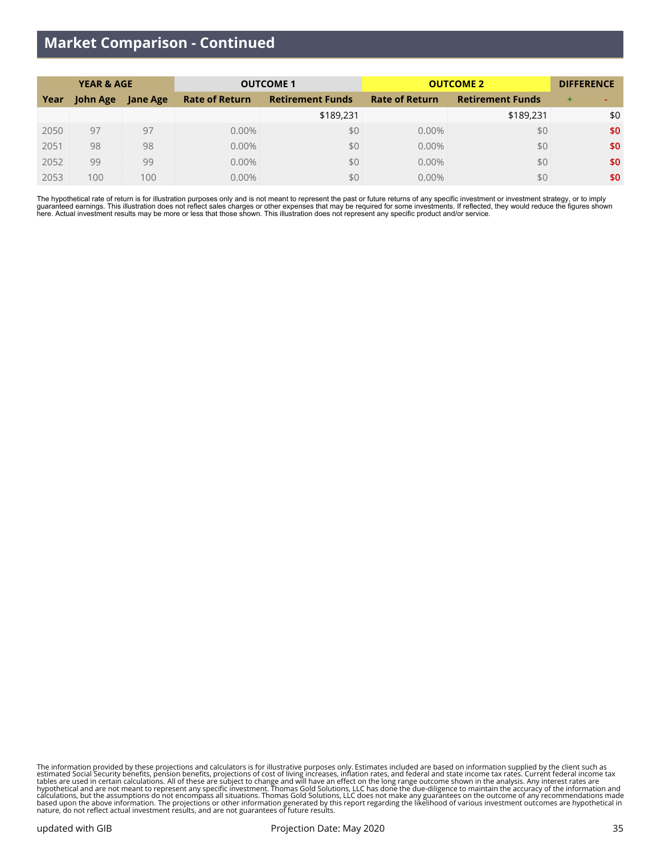## **Market Comparison - Continued**

| <b>YEAR &amp; AGE</b> |          |                 | <b>OUTCOME 1</b>      | <b>OUTCOME 2</b>        | <b>DIFFERENCE</b>     |                         |     |
|-----------------------|----------|-----------------|-----------------------|-------------------------|-----------------------|-------------------------|-----|
| Year                  | John Age | <b>Jane Age</b> | <b>Rate of Return</b> | <b>Retirement Funds</b> | <b>Rate of Return</b> | <b>Retirement Funds</b> | ÷   |
|                       |          |                 |                       | \$189,231               |                       | \$189,231               | \$0 |
| 2050                  | 97       | 97              | $0.00\%$              | \$0                     | 0.00%                 | \$0                     | \$0 |
| 2051                  | 98       | 98              | $0.00\%$              | \$0                     | 0.00%                 | \$0                     | \$0 |
| 2052                  | 99       | 99              | 0.00%                 | \$0                     | 0.00%                 | \$0                     | \$0 |
| 2053                  | 100      | 100             | 0.00%                 | \$0                     | 0.00%                 | \$0                     | \$0 |

The hypothetical rate of return is for illustration purposes only and is not meant to represent the past or future returns of any specific investment or investment strategy, or to imply<br>guaranteed earnings. This illustrati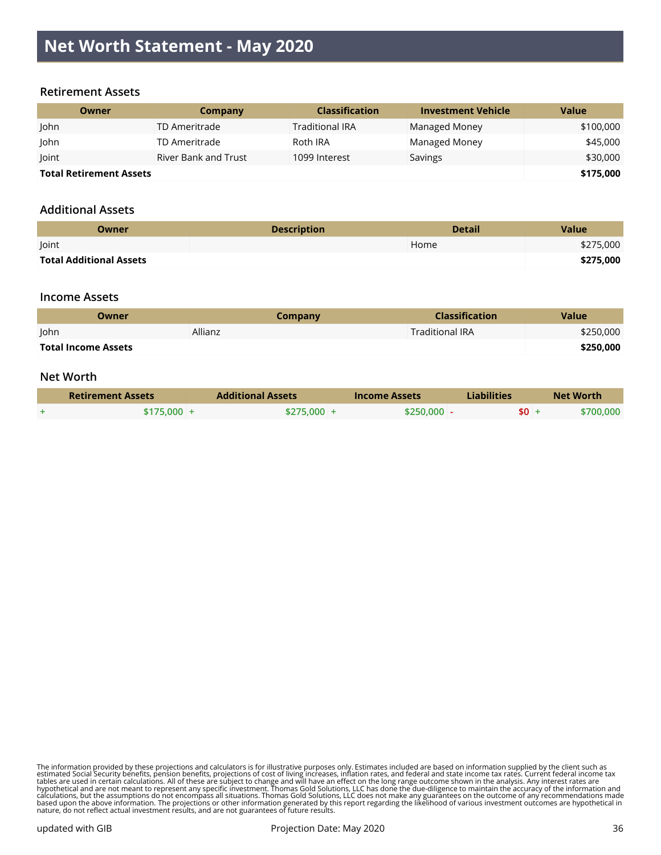# **Net Worth Statement - May 2020**

#### **Retirement Assets**

| Owner                          | Company              | <b>Classification</b>  | <b>Investment Vehicle</b> | <b>Value</b> |
|--------------------------------|----------------------|------------------------|---------------------------|--------------|
| John                           | TD Ameritrade        | <b>Traditional IRA</b> | <b>Managed Money</b>      | \$100,000    |
| John                           | TD Ameritrade        | Roth IRA               | <b>Managed Money</b>      | \$45,000     |
| Joint                          | River Bank and Trust | 1099 Interest          | Savings                   | \$30,000     |
| <b>Total Retirement Assets</b> |                      |                        |                           | \$175,000    |

#### **Additional Assets**

| Owner                   | <b>Description</b> | <b>Detail</b> | Value     |
|-------------------------|--------------------|---------------|-----------|
| Joint                   |                    | Home          | \$275,000 |
| Total Additional Assets |                    |               | \$275,000 |

#### **Income Assets**

| Owner               | Company | <b>Classification</b>  | Value     |
|---------------------|---------|------------------------|-----------|
| <b>John</b>         | Allianz | <b>Traditional IRA</b> | \$250,000 |
| Total Income Assets |         |                        | \$250,000 |

#### **Net Worth**

| <b>Retirement Assets</b> | <b>Additional Assets</b> | <b>Income Assets</b> | Liabilities |        | <b>Net Worth</b> |
|--------------------------|--------------------------|----------------------|-------------|--------|------------------|
| \$175,000 +              | $$275.000 +$             | $$250,000$ -         |             | $$0 +$ | <b>\$700,000</b> |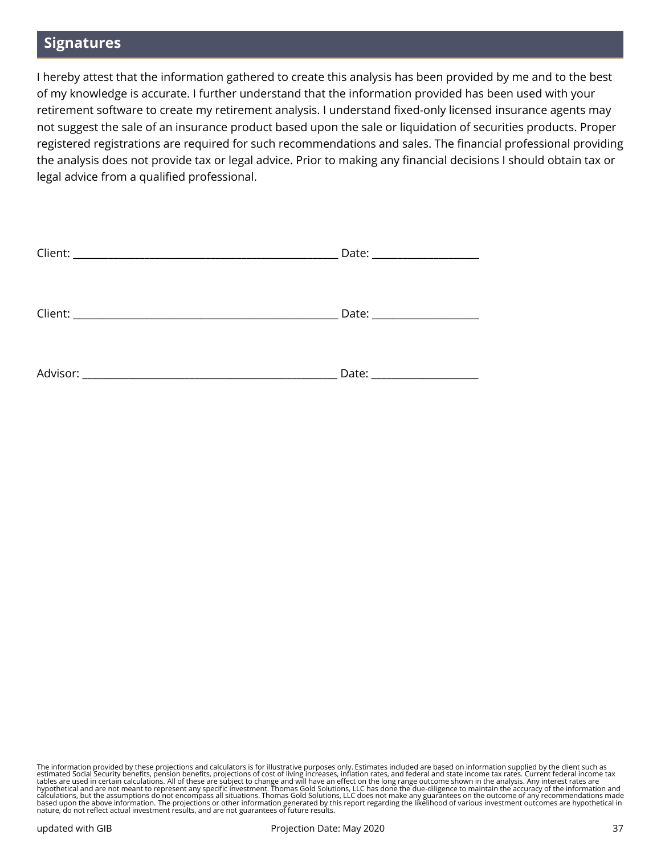## **Signatures**

I hereby attest that the information gathered to create this analysis has been provided by me and to the best of my knowledge is accurate. I further understand that the information provided has been used with your retirement software to create my retirement analysis. I understand fixed-only licensed insurance agents may not suggest the sale of an insurance product based upon the sale or liquidation of securities products. Proper registered registrations are required for such recommendations and sales. The financial professional providing the analysis does not provide tax or legal advice. Prior to making any financial decisions I should obtain tax or legal advice from a qualified professional.

|          | Date: _____________________ |
|----------|-----------------------------|
|          |                             |
|          |                             |
|          |                             |
|          |                             |
|          |                             |
|          |                             |
|          |                             |
| Advisor: | Date:                       |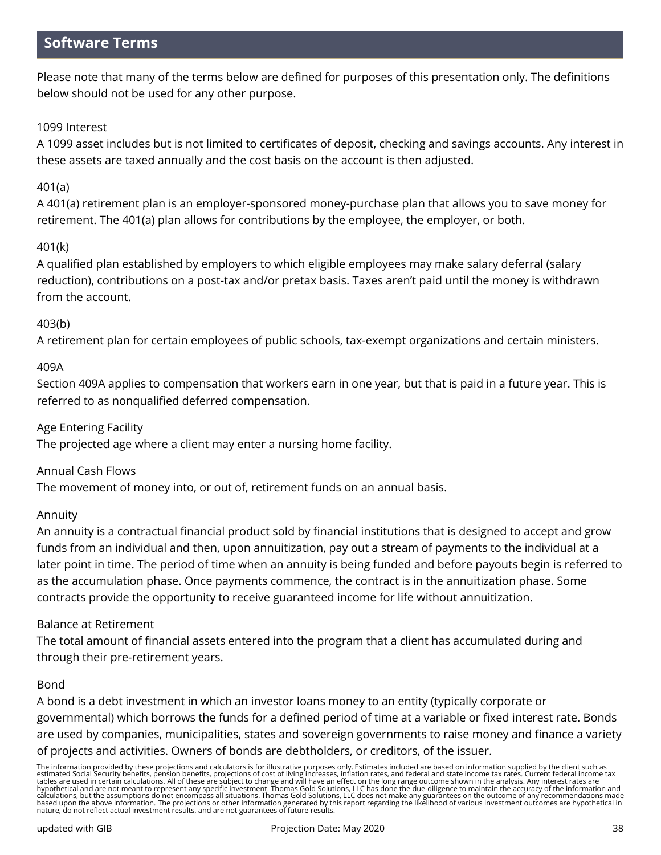# **Software Terms**

Please note that many of the terms below are defined for purposes of this presentation only. The definitions below should not be used for any other purpose.

## 1099 Interest

A 1099 asset includes but is not limited to certificates of deposit, checking and savings accounts. Any interest in these assets are taxed annually and the cost basis on the account is then adjusted.

## 401(a)

A 401(a) retirement plan is an employer-sponsored money-purchase plan that allows you to save money for retirement. The 401(a) plan allows for contributions by the employee, the employer, or both.

## 401(k)

A qualified plan established by employers to which eligible employees may make salary deferral (salary reduction), contributions on a post-tax and/or pretax basis. Taxes aren't paid until the money is withdrawn from the account.

## 403(b)

A retirement plan for certain employees of public schools, tax-exempt organizations and certain ministers.

#### 409A

Section 409A applies to compensation that workers earn in one year, but that is paid in a future year. This is referred to as nonqualified deferred compensation.

#### Age Entering Facility

The projected age where a client may enter a nursing home facility.

#### Annual Cash Flows

The movement of money into, or out of, retirement funds on an annual basis.

#### Annuity

An annuity is a contractual financial product sold by financial institutions that is designed to accept and grow funds from an individual and then, upon annuitization, pay out a stream of payments to the individual at a later point in time. The period of time when an annuity is being funded and before payouts begin is referred to as the accumulation phase. Once payments commence, the contract is in the annuitization phase. Some contracts provide the opportunity to receive guaranteed income for life without annuitization.

#### Balance at Retirement

The total amount of financial assets entered into the program that a client has accumulated during and through their pre-retirement years.

#### Bond

A bond is a debt investment in which an investor loans money to an entity (typically corporate or governmental) which borrows the funds for a defined period of time at a variable or fixed interest rate. Bonds are used by companies, municipalities, states and sovereign governments to raise money and finance a variety of projects and activities. Owners of bonds are debtholders, or creditors, of the issuer.

The information provided by these projections and calculators is for illustrative purposes only. Estimates included are based on information supplied by the client such as estimated Social Security benefits, pension benefits, projections of cost of living increases, inflation rates, and federal and state income tax rates. Current federal income tax<br>tables are used in certain calculations. Al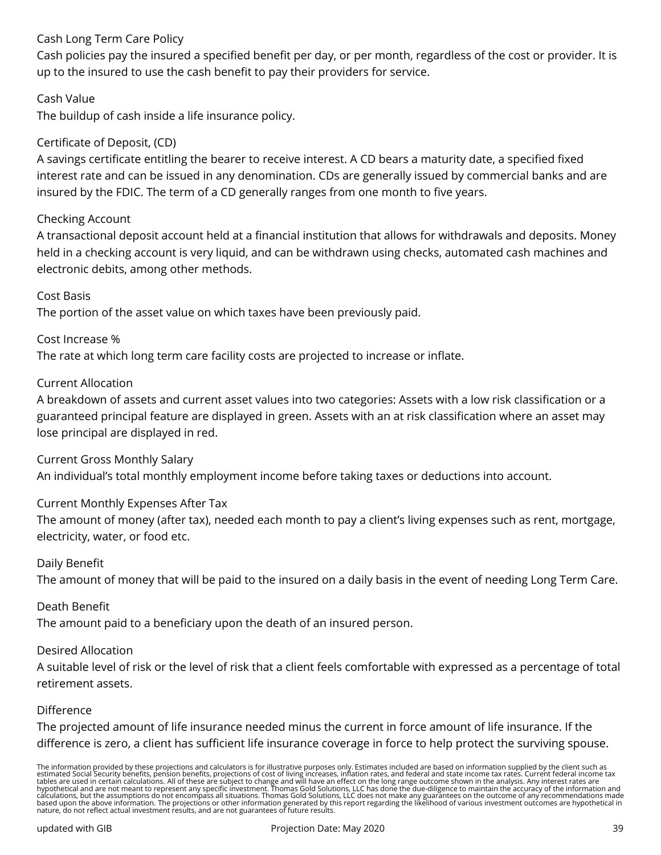## Cash Long Term Care Policy

Cash policies pay the insured a specified benefit per day, or per month, regardless of the cost or provider. It is up to the insured to use the cash benefit to pay their providers for service.

## Cash Value

The buildup of cash inside a life insurance policy.

## Certificate of Deposit, (CD)

A savings certificate entitling the bearer to receive interest. A CD bears a maturity date, a specified fixed interest rate and can be issued in any denomination. CDs are generally issued by commercial banks and are insured by the FDIC. The term of a CD generally ranges from one month to five years.

#### Checking Account

A transactional deposit account held at a financial institution that allows for withdrawals and deposits. Money held in a checking account is very liquid, and can be withdrawn using checks, automated cash machines and electronic debits, among other methods.

#### Cost Basis

The portion of the asset value on which taxes have been previously paid.

#### Cost Increase %

The rate at which long term care facility costs are projected to increase or inflate.

#### Current Allocation

A breakdown of assets and current asset values into two categories: Assets with a low risk classification or a guaranteed principal feature are displayed in green. Assets with an at risk classification where an asset may lose principal are displayed in red.

Current Gross Monthly Salary

An individual's total monthly employment income before taking taxes or deductions into account.

#### Current Monthly Expenses After Tax

The amount of money (after tax), needed each month to pay a client's living expenses such as rent, mortgage, electricity, water, or food etc.

#### Daily Benefit

The amount of money that will be paid to the insured on a daily basis in the event of needing Long Term Care.

#### Death Benefit

The amount paid to a beneficiary upon the death of an insured person.

#### Desired Allocation

A suitable level of risk or the level of risk that a client feels comfortable with expressed as a percentage of total retirement assets.

#### Difference

The projected amount of life insurance needed minus the current in force amount of life insurance. If the difference is zero, a client has sufficient life insurance coverage in force to help protect the surviving spouse.

The information provided by these projections and calculators is for illustrative purposes only. Estimates included are based on information supplied by the client such as<br>estimated Social Security benefits, pension benefi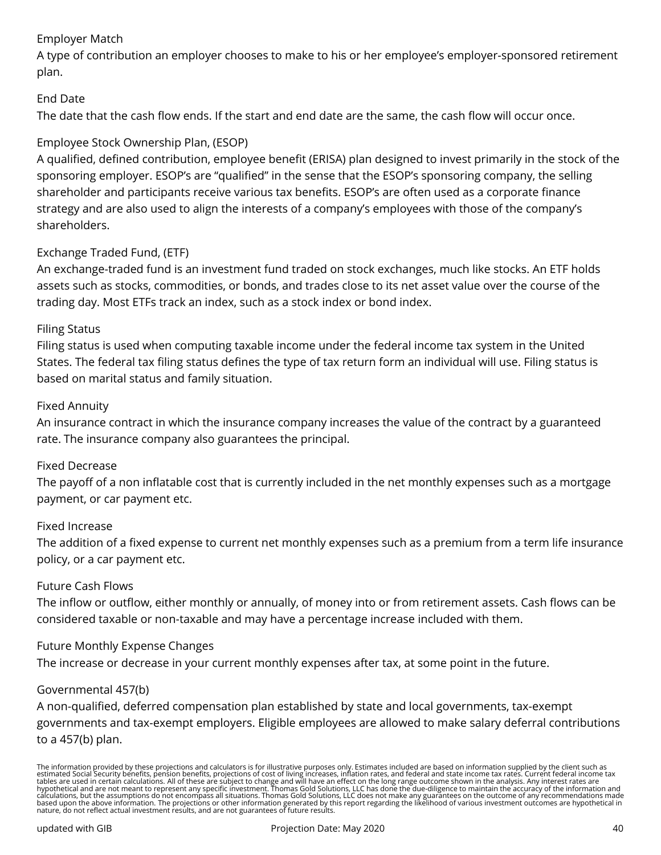## Employer Match

A type of contribution an employer chooses to make to his or her employee's employer-sponsored retirement plan.

## End Date

The date that the cash flow ends. If the start and end date are the same, the cash flow will occur once.

## Employee Stock Ownership Plan, (ESOP)

A qualified, defined contribution, employee benefit (ERISA) plan designed to invest primarily in the stock of the sponsoring employer. ESOP's are "qualified" in the sense that the ESOP's sponsoring company, the selling shareholder and participants receive various tax benefits. ESOP's are often used as a corporate finance strategy and are also used to align the interests of a company's employees with those of the company's shareholders.

## Exchange Traded Fund, (ETF)

An exchange-traded fund is an investment fund traded on stock exchanges, much like stocks. An ETF holds assets such as stocks, commodities, or bonds, and trades close to its net asset value over the course of the trading day. Most ETFs track an index, such as a stock index or bond index.

#### Filing Status

Filing status is used when computing taxable income under the federal income tax system in the United States. The federal tax filing status defines the type of tax return form an individual will use. Filing status is based on marital status and family situation.

#### Fixed Annuity

An insurance contract in which the insurance company increases the value of the contract by a guaranteed rate. The insurance company also guarantees the principal.

#### Fixed Decrease

The payoff of a non inflatable cost that is currently included in the net monthly expenses such as a mortgage payment, or car payment etc.

#### Fixed Increase

The addition of a fixed expense to current net monthly expenses such as a premium from a term life insurance policy, or a car payment etc.

#### Future Cash Flows

The inflow or outflow, either monthly or annually, of money into or from retirement assets. Cash flows can be considered taxable or non-taxable and may have a percentage increase included with them.

#### Future Monthly Expense Changes

The increase or decrease in your current monthly expenses after tax, at some point in the future.

#### Governmental 457(b)

A non-qualified, deferred compensation plan established by state and local governments, tax-exempt governments and tax-exempt employers. Eligible employees are allowed to make salary deferral contributions to a 457(b) plan.

The information provided by these projections and calculators is for illustrative purposes only. Estimates included are based on information supplied by the client such as<br>estimated Social Security benefits, pension benefi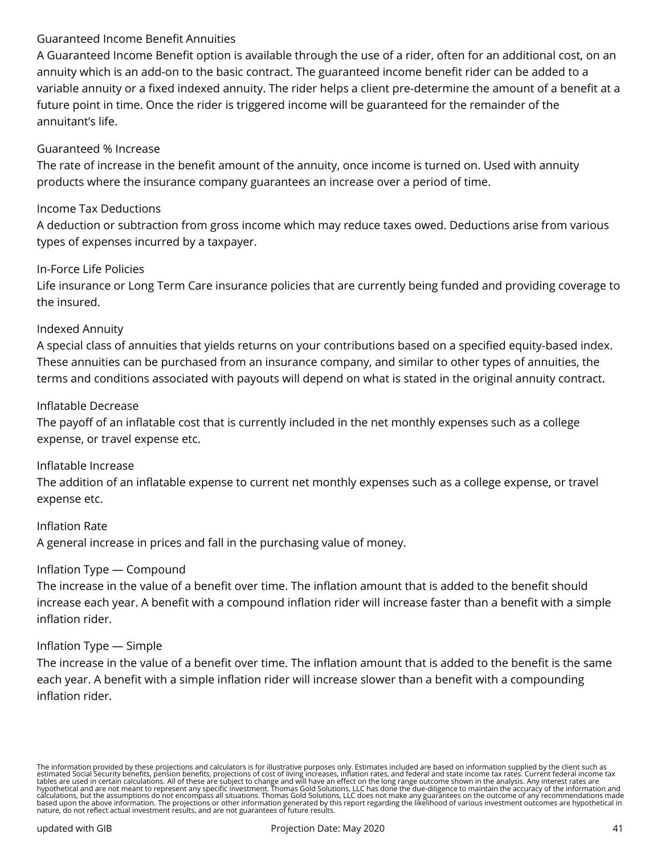## Guaranteed Income Benefit Annuities

A Guaranteed Income Benefit option is available through the use of a rider, often for an additional cost, on an annuity which is an add-on to the basic contract. The guaranteed income benefit rider can be added to a variable annuity or a fixed indexed annuity. The rider helps a client pre-determine the amount of a benefit at a future point in time. Once the rider is triggered income will be guaranteed for the remainder of the annuitant's life.

## Guaranteed % Increase

The rate of increase in the benefit amount of the annuity, once income is turned on. Used with annuity products where the insurance company guarantees an increase over a period of time.

## Income Tax Deductions

A deduction or subtraction from gross income which may reduce taxes owed. Deductions arise from various types of expenses incurred by a taxpayer.

#### In-Force Life Policies

Life insurance or Long Term Care insurance policies that are currently being funded and providing coverage to the insured.

#### Indexed Annuity

A special class of annuities that yields returns on your contributions based on a specified equity-based index. These annuities can be purchased from an insurance company, and similar to other types of annuities, the terms and conditions associated with payouts will depend on what is stated in the original annuity contract.

#### Inflatable Decrease

The payoff of an inflatable cost that is currently included in the net monthly expenses such as a college expense, or travel expense etc.

#### Inflatable Increase

The addition of an inflatable expense to current net monthly expenses such as a college expense, or travel expense etc.

Inflation Rate A general increase in prices and fall in the purchasing value of money.

#### Inflation Type — Compound

The increase in the value of a benefit over time. The inflation amount that is added to the benefit should increase each year. A benefit with a compound inflation rider will increase faster than a benefit with a simple inflation rider.

#### Inflation Type — Simple

The increase in the value of a benefit over time. The inflation amount that is added to the benefit is the same each year. A benefit with a simple inflation rider will increase slower than a benefit with a compounding inflation rider.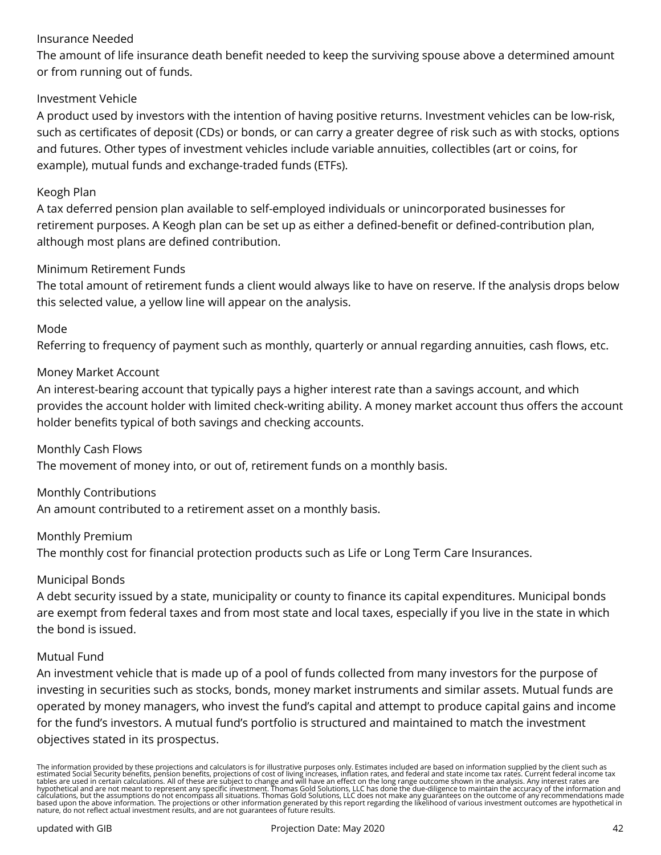## Insurance Needed

The amount of life insurance death benefit needed to keep the surviving spouse above a determined amount or from running out of funds.

## Investment Vehicle

A product used by investors with the intention of having positive returns. Investment vehicles can be low-risk, such as certificates of deposit (CDs) or bonds, or can carry a greater degree of risk such as with stocks, options and futures. Other types of investment vehicles include variable annuities, collectibles (art or coins, for example), mutual funds and exchange-traded funds (ETFs).

#### Keogh Plan

A tax deferred pension plan available to self-employed individuals or unincorporated businesses for retirement purposes. A Keogh plan can be set up as either a defined-benefit or defined-contribution plan, although most plans are defined contribution.

#### Minimum Retirement Funds

The total amount of retirement funds a client would always like to have on reserve. If the analysis drops below this selected value, a yellow line will appear on the analysis.

## Mode

Referring to frequency of payment such as monthly, quarterly or annual regarding annuities, cash flows, etc.

#### Money Market Account

An interest-bearing account that typically pays a higher interest rate than a savings account, and which provides the account holder with limited check-writing ability. A money market account thus offers the account holder benefits typical of both savings and checking accounts.

#### Monthly Cash Flows

The movement of money into, or out of, retirement funds on a monthly basis.

#### Monthly Contributions

An amount contributed to a retirement asset on a monthly basis.

#### Monthly Premium

The monthly cost for financial protection products such as Life or Long Term Care Insurances.

#### Municipal Bonds

A debt security issued by a state, municipality or county to finance its capital expenditures. Municipal bonds are exempt from federal taxes and from most state and local taxes, especially if you live in the state in which the bond is issued.

#### Mutual Fund

An investment vehicle that is made up of a pool of funds collected from many investors for the purpose of investing in securities such as stocks, bonds, money market instruments and similar assets. Mutual funds are operated by money managers, who invest the fund's capital and attempt to produce capital gains and income for the fund's investors. A mutual fund's portfolio is structured and maintained to match the investment objectives stated in its prospectus.

The information provided by these projections and calculators is for illustrative purposes only. Estimates included are based on information supplied by the client such as<br>estimated Social Security benefits, pension benefi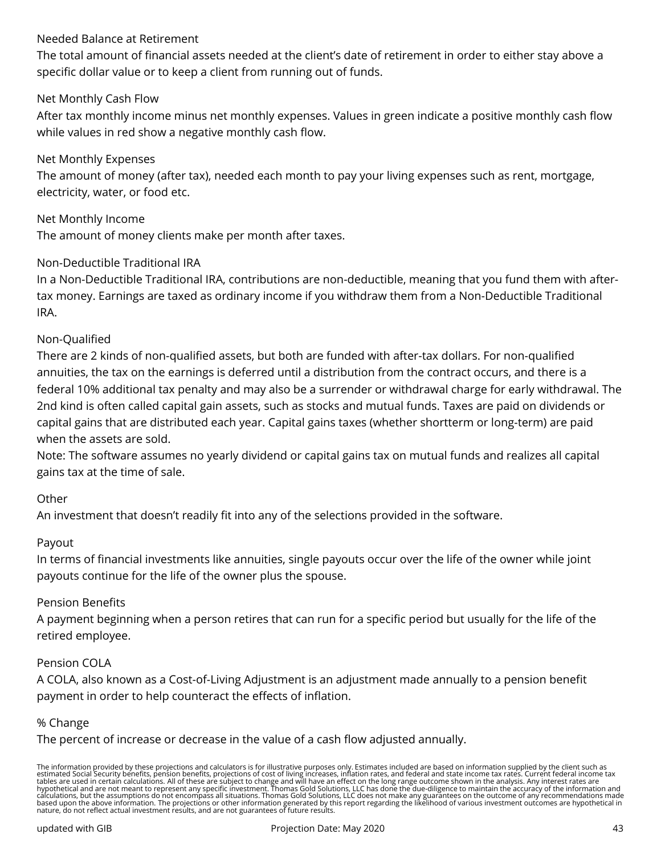## Needed Balance at Retirement

The total amount of financial assets needed at the client's date of retirement in order to either stay above a specific dollar value or to keep a client from running out of funds.

### Net Monthly Cash Flow

After tax monthly income minus net monthly expenses. Values in green indicate a positive monthly cash flow while values in red show a negative monthly cash flow.

## Net Monthly Expenses

The amount of money (after tax), needed each month to pay your living expenses such as rent, mortgage, electricity, water, or food etc.

Net Monthly Income

The amount of money clients make per month after taxes.

#### Non-Deductible Traditional IRA

In a Non-Deductible Traditional IRA, contributions are non-deductible, meaning that you fund them with aftertax money. Earnings are taxed as ordinary income if you withdraw them from a Non-Deductible Traditional IRA.

#### Non-Qualified

There are 2 kinds of non-qualified assets, but both are funded with after-tax dollars. For non-qualified annuities, the tax on the earnings is deferred until a distribution from the contract occurs, and there is a federal 10% additional tax penalty and may also be a surrender or withdrawal charge for early withdrawal. The 2nd kind is often called capital gain assets, such as stocks and mutual funds. Taxes are paid on dividends or capital gains that are distributed each year. Capital gains taxes (whether shortterm or long-term) are paid when the assets are sold.

Note: The software assumes no yearly dividend or capital gains tax on mutual funds and realizes all capital gains tax at the time of sale.

#### **Other**

An investment that doesn't readily fit into any of the selections provided in the software.

#### Payout

In terms of financial investments like annuities, single payouts occur over the life of the owner while joint payouts continue for the life of the owner plus the spouse.

#### Pension Benefits

A payment beginning when a person retires that can run for a specific period but usually for the life of the retired employee.

#### Pension COLA

A COLA, also known as a Cost-of-Living Adjustment is an adjustment made annually to a pension benefit payment in order to help counteract the effects of inflation.

#### % Change

The percent of increase or decrease in the value of a cash flow adjusted annually.

The information provided by these projections and calculators is for illustrative purposes only. Estimates included are based on information supplied by the client such as<br>estimated Social Security benefits, pension benefi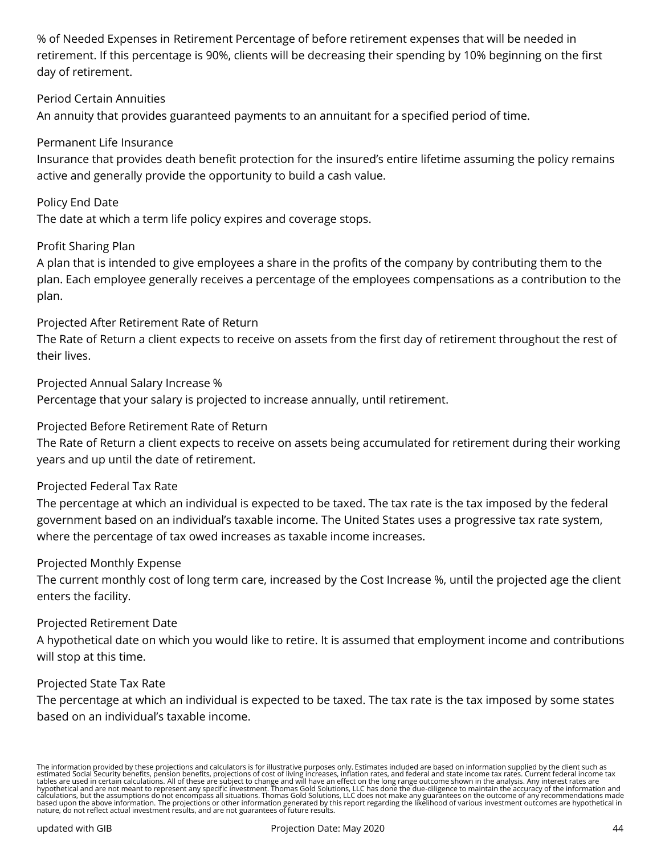% of Needed Expenses in Retirement Percentage of before retirement expenses that will be needed in retirement. If this percentage is 90%, clients will be decreasing their spending by 10% beginning on the first day of retirement.

## Period Certain Annuities

An annuity that provides guaranteed payments to an annuitant for a specified period of time.

#### Permanent Life Insurance

Insurance that provides death benefit protection for the insured's entire lifetime assuming the policy remains active and generally provide the opportunity to build a cash value.

#### Policy End Date

The date at which a term life policy expires and coverage stops.

#### Profit Sharing Plan

A plan that is intended to give employees a share in the profits of the company by contributing them to the plan. Each employee generally receives a percentage of the employees compensations as a contribution to the plan.

#### Projected After Retirement Rate of Return

The Rate of Return a client expects to receive on assets from the first day of retirement throughout the rest of their lives.

Projected Annual Salary Increase %

Percentage that your salary is projected to increase annually, until retirement.

#### Projected Before Retirement Rate of Return

The Rate of Return a client expects to receive on assets being accumulated for retirement during their working years and up until the date of retirement.

#### Projected Federal Tax Rate

The percentage at which an individual is expected to be taxed. The tax rate is the tax imposed by the federal government based on an individual's taxable income. The United States uses a progressive tax rate system, where the percentage of tax owed increases as taxable income increases.

#### Projected Monthly Expense

The current monthly cost of long term care, increased by the Cost Increase %, until the projected age the client enters the facility.

#### Projected Retirement Date

A hypothetical date on which you would like to retire. It is assumed that employment income and contributions will stop at this time.

#### Projected State Tax Rate

The percentage at which an individual is expected to be taxed. The tax rate is the tax imposed by some states based on an individual's taxable income.

The information provided by these projections and calculators is for illustrative purposes only. Estimates included are based on information supplied by the client such as<br>estimated Social Security benefits, pension benefi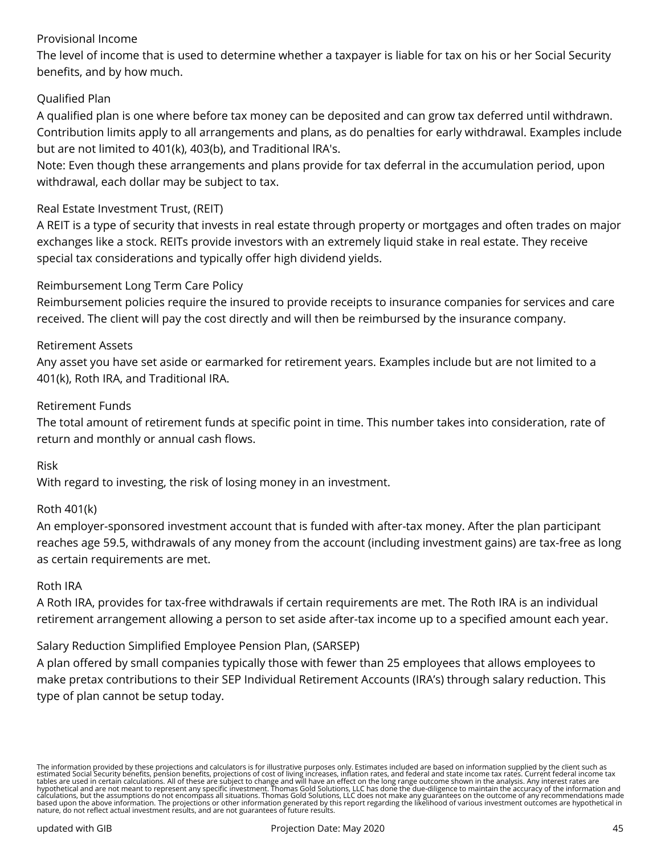## Provisional Income

The level of income that is used to determine whether a taxpayer is liable for tax on his or her Social Security benefits, and by how much.

## Qualified Plan

A qualified plan is one where before tax money can be deposited and can grow tax deferred until withdrawn. Contribution limits apply to all arrangements and plans, as do penalties for early withdrawal. Examples include but are not limited to 401(k), 403(b), and Traditional lRA's.

Note: Even though these arrangements and plans provide for tax deferral in the accumulation period, upon withdrawal, each dollar may be subject to tax.

#### Real Estate Investment Trust, (REIT)

A REIT is a type of security that invests in real estate through property or mortgages and often trades on major exchanges like a stock. REITs provide investors with an extremely liquid stake in real estate. They receive special tax considerations and typically offer high dividend yields.

#### Reimbursement Long Term Care Policy

Reimbursement policies require the insured to provide receipts to insurance companies for services and care received. The client will pay the cost directly and will then be reimbursed by the insurance company.

#### Retirement Assets

Any asset you have set aside or earmarked for retirement years. Examples include but are not limited to a 401(k), Roth IRA, and Traditional IRA.

#### Retirement Funds

The total amount of retirement funds at specific point in time. This number takes into consideration, rate of return and monthly or annual cash flows.

#### Risk

With regard to investing, the risk of losing money in an investment.

#### Roth 401(k)

An employer-sponsored investment account that is funded with after-tax money. After the plan participant reaches age 59.5, withdrawals of any money from the account (including investment gains) are tax-free as long as certain requirements are met.

#### Roth IRA

A Roth IRA, provides for tax-free withdrawals if certain requirements are met. The Roth IRA is an individual retirement arrangement allowing a person to set aside after-tax income up to a specified amount each year.

#### Salary Reduction Simplified Employee Pension Plan, (SARSEP)

A plan offered by small companies typically those with fewer than 25 employees that allows employees to make pretax contributions to their SEP Individual Retirement Accounts (IRA's) through salary reduction. This type of plan cannot be setup today.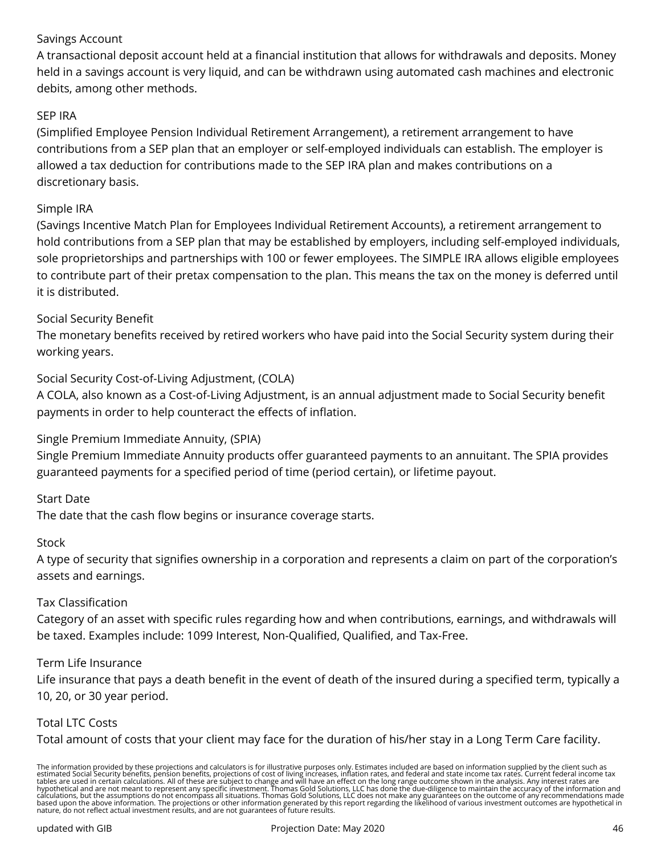## Savings Account

A transactional deposit account held at a financial institution that allows for withdrawals and deposits. Money held in a savings account is very liquid, and can be withdrawn using automated cash machines and electronic debits, among other methods.

## SEP IRA

(Simplified Employee Pension Individual Retirement Arrangement), a retirement arrangement to have contributions from a SEP plan that an employer or self-employed individuals can establish. The employer is allowed a tax deduction for contributions made to the SEP IRA plan and makes contributions on a discretionary basis.

#### Simple IRA

(Savings Incentive Match Plan for Employees Individual Retirement Accounts), a retirement arrangement to hold contributions from a SEP plan that may be established by employers, including self-employed individuals, sole proprietorships and partnerships with 100 or fewer employees. The SIMPLE IRA allows eligible employees to contribute part of their pretax compensation to the plan. This means the tax on the money is deferred until it is distributed.

#### Social Security Benefit

The monetary benefits received by retired workers who have paid into the Social Security system during their working years.

#### Social Security Cost-of-Living Adjustment, (COLA)

A COLA, also known as a Cost-of-Living Adjustment, is an annual adjustment made to Social Security benefit payments in order to help counteract the effects of inflation.

#### Single Premium Immediate Annuity, (SPIA)

Single Premium Immediate Annuity products offer guaranteed payments to an annuitant. The SPIA provides guaranteed payments for a specified period of time (period certain), or lifetime payout.

#### Start Date

The date that the cash flow begins or insurance coverage starts.

#### Stock

A type of security that signifies ownership in a corporation and represents a claim on part of the corporation's assets and earnings.

#### Tax Classification

Category of an asset with specific rules regarding how and when contributions, earnings, and withdrawals will be taxed. Examples include: 1099 Interest, Non-Qualified, Qualified, and Tax-Free.

#### Term Life Insurance

Life insurance that pays a death benefit in the event of death of the insured during a specified term, typically a 10, 20, or 30 year period.

#### Total LTC Costs

Total amount of costs that your client may face for the duration of his/her stay in a Long Term Care facility.

The information provided by these projections and calculators is for illustrative purposes only. Estimates included are based on information supplied by the client such as<br>estimated Social Security benefits, pension benefi